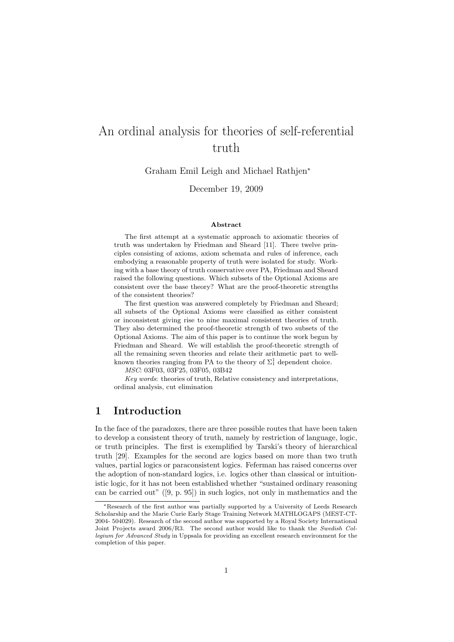# An ordinal analysis for theories of self-referential truth

Graham Emil Leigh and Michael Rathjen<sup>∗</sup>

December 19, 2009

#### Abstract

The first attempt at a systematic approach to axiomatic theories of truth was undertaken by Friedman and Sheard [11]. There twelve principles consisting of axioms, axiom schemata and rules of inference, each embodying a reasonable property of truth were isolated for study. Working with a base theory of truth conservative over PA, Friedman and Sheard raised the following questions. Which subsets of the Optional Axioms are consistent over the base theory? What are the proof-theoretic strengths of the consistent theories?

The first question was answered completely by Friedman and Sheard; all subsets of the Optional Axioms were classified as either consistent or inconsistent giving rise to nine maximal consistent theories of truth. They also determined the proof-theoretic strength of two subsets of the Optional Axioms. The aim of this paper is to continue the work begun by Friedman and Sheard. We will establish the proof-theoretic strength of all the remaining seven theories and relate their arithmetic part to wellknown theories ranging from PA to the theory of  $\Sigma_1^1$  dependent choice.

MSC: 03F03, 03F25, 03F05, 03B42

Key words: theories of truth, Relative consistency and interpretations, ordinal analysis, cut elimination

# 1 Introduction

In the face of the paradoxes, there are three possible routes that have been taken to develop a consistent theory of truth, namely by restriction of language, logic, or truth principles. The first is exemplified by Tarski's theory of hierarchical truth [29]. Examples for the second are logics based on more than two truth values, partial logics or paraconsistent logics. Feferman has raised concerns over the adoption of non-standard logics, i.e. logics other than classical or intuitionistic logic, for it has not been established whether "sustained ordinary reasoning can be carried out" ([9, p. 95]) in such logics, not only in mathematics and the

<sup>∗</sup>Research of the first author was partially supported by a University of Leeds Research Scholarship and the Marie Curie Early Stage Training Network MATHLOGAPS (MEST-CT-2004- 504029). Research of the second author was supported by a Royal Society International Joint Projects award 2006/R3. The second author would like to thank the Swedish Collegium for Advanced Study in Uppsala for providing an excellent research environment for the completion of this paper.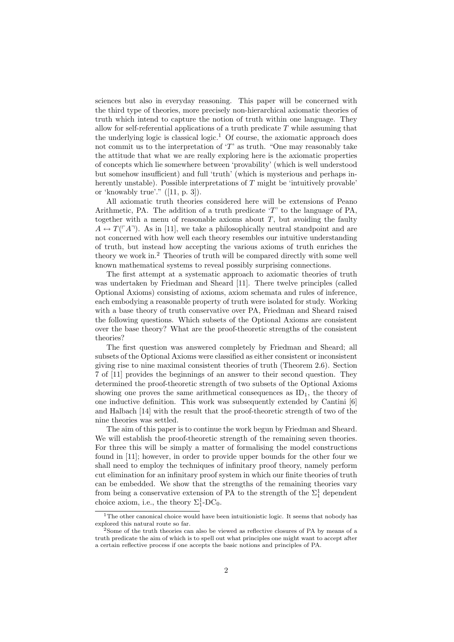sciences but also in everyday reasoning. This paper will be concerned with the third type of theories, more precisely non-hierarchical axiomatic theories of truth which intend to capture the notion of truth within one language. They allow for self-referential applications of a truth predicate  $T$  while assuming that the underlying logic is classical logic.<sup>1</sup> Of course, the axiomatic approach does not commit us to the interpretation of  $T$  as truth. "One may reasonably take the attitude that what we are really exploring here is the axiomatic properties of concepts which lie somewhere between 'provability' (which is well understood but somehow insufficient) and full 'truth' (which is mysterious and perhaps inherently unstable). Possible interpretations of T might be 'intuitively provable' or 'knowably true'."  $([11, p. 3]).$ 

All axiomatic truth theories considered here will be extensions of Peano Arithmetic, PA. The addition of a truth predicate 'T' to the language of PA, together with a menu of reasonable axioms about  $T$ , but avoiding the faulty  $A \leftrightarrow T(\ulcorner A \urcorner)$ . As in [11], we take a philosophically neutral standpoint and are not concerned with how well each theory resembles our intuitive understanding of truth, but instead how accepting the various axioms of truth enriches the theory we work in.<sup>2</sup> Theories of truth will be compared directly with some well known mathematical systems to reveal possibly surprising connections.

The first attempt at a systematic approach to axiomatic theories of truth was undertaken by Friedman and Sheard [11]. There twelve principles (called Optional Axioms) consisting of axioms, axiom schemata and rules of inference, each embodying a reasonable property of truth were isolated for study. Working with a base theory of truth conservative over PA, Friedman and Sheard raised the following questions. Which subsets of the Optional Axioms are consistent over the base theory? What are the proof-theoretic strengths of the consistent theories?

The first question was answered completely by Friedman and Sheard; all subsets of the Optional Axioms were classified as either consistent or inconsistent giving rise to nine maximal consistent theories of truth (Theorem 2.6). Section 7 of [11] provides the beginnings of an answer to their second question. They determined the proof-theoretic strength of two subsets of the Optional Axioms showing one proves the same arithmetical consequences as  $ID_1$ , the theory of one inductive definition. This work was subsequently extended by Cantini [6] and Halbach [14] with the result that the proof-theoretic strength of two of the nine theories was settled.

The aim of this paper is to continue the work begun by Friedman and Sheard. We will establish the proof-theoretic strength of the remaining seven theories. For three this will be simply a matter of formalising the model constructions found in [11]; however, in order to provide upper bounds for the other four we shall need to employ the techniques of infinitary proof theory, namely perform cut elimination for an infinitary proof system in which our finite theories of truth can be embedded. We show that the strengths of the remaining theories vary from being a conservative extension of PA to the strength of the  $\Sigma^1_1$  dependent choice axiom, i.e., the theory  $\Sigma_1^1$ -DC<sub>0</sub>.

<sup>&</sup>lt;sup>1</sup>The other canonical choice would have been intuitionistic logic. It seems that nobody has explored this natural route so far.

<sup>2</sup>Some of the truth theories can also be viewed as reflective closures of PA by means of a truth predicate the aim of which is to spell out what principles one might want to accept after a certain reflective process if one accepts the basic notions and principles of PA.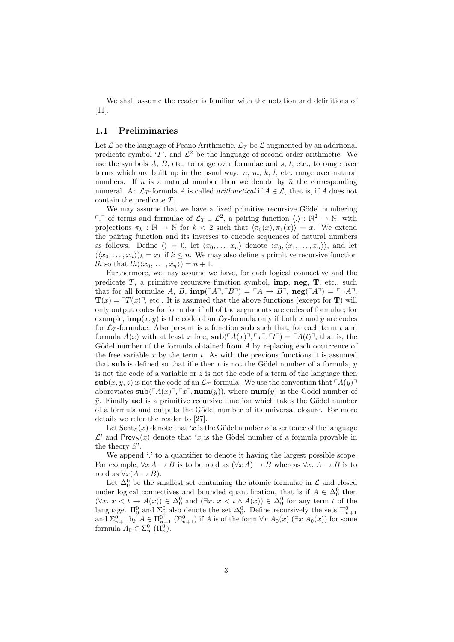We shall assume the reader is familiar with the notation and definitions of [11].

### 1.1 Preliminaries

Let  $\mathcal L$  be the language of Peano Arithmetic,  $\mathcal L_T$  be  $\mathcal L$  augmented by an additional predicate symbol 'T', and  $\mathcal{L}^2$  be the language of second-order arithmetic. We use the symbols  $A, B$ , etc. to range over formulae and  $s, t$ , etc., to range over terms which are built up in the usual way.  $n, m, k, l$ , etc. range over natural numbers. If n is a natural number then we denote by  $\bar{n}$  the corresponding numeral. An  $\mathcal{L}_T$ -formula A is called *arithmetical* if  $A \in \mathcal{L}$ , that is, if A does not contain the predicate T.

We may assume that we have a fixed primitive recursive Gödel numbering  $\ulcorner$  of terms and formulae of  $\mathcal{L}_T \cup \mathcal{L}^2$ , a pairing function  $\langle . \rangle : \mathbb{N}^2 \to \mathbb{N}$ , with projections  $\pi_k : \mathbb{N} \to \mathbb{N}$  for  $k < 2$  such that  $\langle \pi_0(x), \pi_1(x) \rangle = x$ . We extend the pairing function and its inverses to encode sequences of natural numbers as follows. Define  $\langle \rangle = 0$ , let  $\langle x_0, \ldots, x_n \rangle$  denote  $\langle x_0, \langle x_1, \ldots, x_n \rangle$ , and let  $(\langle x_0, \ldots, x_n \rangle)_k = x_k$  if  $k \leq n$ . We may also define a primitive recursive function *lh* so that  $lh(\langle x_0, \ldots, x_n \rangle) = n + 1$ .

Furthermore, we may assume we have, for each logical connective and the predicate  $T$ , a primitive recursive function symbol, **imp**, **neg**,  $T$ , etc., such that for all formulae A, B,  $\text{imp}(\ulcorner A \urcorner, \ulcorner B \urcorner) = \ulcorner A \rightarrow B \urcorner$ ,  $\text{neg}(\ulcorner A \urcorner) = \ulcorner \neg A \urcorner$ ,  $\mathbf{T}(x) = T(x)$ , etc.. It is assumed that the above functions (except for T) will only output codes for formulae if all of the arguments are codes of formulae; for example,  $\text{imp}(x, y)$  is the code of an  $\mathcal{L}_T$ -formula only if both x and y are codes for  $\mathcal{L}_T$ -formulae. Also present is a function sub such that, for each term t and formula  $A(x)$  with at least x free,  $\text{sub}(\ulcorner A(x)\urcorner, \ulcorner x\urcorner, \ulcorner t\urcorner) = \ulcorner A(t)\urcorner$ , that is, the Gödel number of the formula obtained from  $A$  by replacing each occurrence of the free variable  $x$  by the term  $t$ . As with the previous functions it is assumed that sub is defined so that if either  $x$  is not the Gödel number of a formula,  $y$ is not the code of a variable or  $z$  is not the code of a term of the language then  $\mathbf{sub}(x, y, z)$  is not the code of an  $\mathcal{L}_T$ -formula. We use the convention that  $\ulcorner A(\dot y)\urcorner$ abbreviates  $\text{sub}(\ulcorner A(x) \urcorner, \ulcorner x \urcorner, \text{num}(y))$ , where  $\text{num}(y)$  is the Gödel number of  $\bar{y}$ . Finally ucl is a primitive recursive function which takes the Gödel number of a formula and outputs the G¨odel number of its universal closure. For more details we refer the reader to [27].

Let  $\text{Sent}_\mathcal{L}(x)$  denote that 'x is the Gödel number of a sentence of the language  $\mathcal{L}^{\prime}$  and Prov<sub>S</sub>(x) denote that 'x is the Gödel number of a formula provable in the theory  $S'$ .

We append '.' to a quantifier to denote it having the largest possible scope. For example,  $\forall x A \rightarrow B$  is to be read as  $(\forall x A) \rightarrow B$  whereas  $\forall x. A \rightarrow B$  is to read as  $\forall x(A \rightarrow B)$ .

Let  $\Delta_0^0$  be the smallest set containing the atomic formulae in  $\mathcal L$  and closed under logical connectives and bounded quantification, that is if  $A \in \Delta_0^0$  then  $(\forall x. x < t \rightarrow A(x)) \in \Delta_0^0$  and  $(\exists x. x < t \wedge A(x)) \in \Delta_0^0$  for any term t of the language.  $\Pi_0^0$  and  $\Sigma_0^0$  also denote the set  $\Delta_0^0$ . Define recursively the sets  $\Pi_{n+1}^0$ and  $\Sigma_{n+1}^0$  by  $A \in \Pi_{n+1}^0$  ( $\Sigma_{n+1}^0$ ) if A is of the form  $\forall x A_0(x)$  ( $\exists x A_0(x)$ ) for some formula  $A_0 \in \Sigma_n^0$  ( $\Pi_n^0$ ).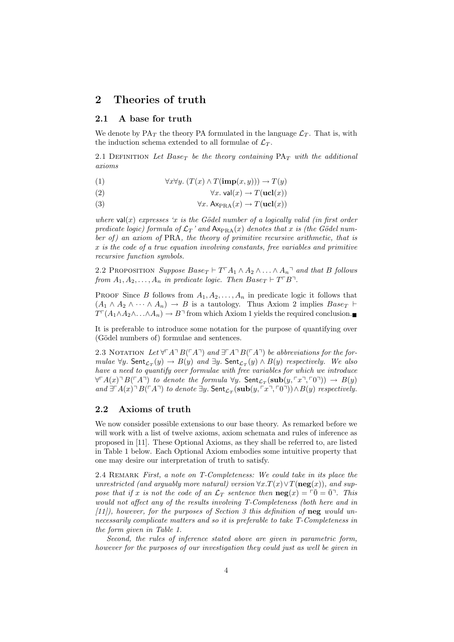# 2 Theories of truth

### 2.1 A base for truth

We denote by  $PA_T$  the theory PA formulated in the language  $\mathcal{L}_T$ . That is, with the induction schema extended to all formulae of  $\mathcal{L}_T$ .

2.1 DEFINITION Let Base<sub>T</sub> be the theory containing  $PA_T$  with the additional axioms

(1) 
$$
\forall x \forall y. (T(x) \land T(\text{imp}(x, y))) \to T(y)
$$

(2) 
$$
\forall x. \text{ val}(x) \rightarrow T(\text{ucl}(x))
$$

(3)  $\forall x. \mathsf{Ax}_{\text{PRA}}(x) \rightarrow T(\text{ucl}(x))$ 

where val(x) expresses 'x is the Gödel number of a logically valid (in first order predicate logic) formula of  $\mathcal{L}_T$ ' and  $\mathsf{Ax}_\text{PRA}(x)$  denotes that x is (the Gödel number of) an axiom of PRA, the theory of primitive recursive arithmetic, that is x is the code of a true equation involving constants, free variables and primitive recursive function symbols.

2.2 PROPOSITION Suppose  $Base_T \vdash T \ulcorner A_1 \wedge A_2 \wedge \ldots \wedge A_n \urcorner$  and that B follows from  $A_1, A_2, \ldots, A_n$  in predicate logic. Then  $Base_T \vdash T \ulcorner B \urcorner$ .

PROOF Since B follows from  $A_1, A_2, \ldots, A_n$  in predicate logic it follows that  $(A_1 \wedge A_2 \wedge \cdots \wedge A_n) \rightarrow B$  is a tautology. Thus Axiom 2 implies  $Base_T$   $\vdash$  $T\left(A_1 \wedge A_2 \wedge \ldots \wedge A_n\right) \to B^{\dagger}$  from which Axiom 1 yields the required conclusion.

It is preferable to introduce some notation for the purpose of quantifying over (Gödel numbers of) formulae and sentences.

2.3 NOTATION Let  $\forall \forall A \exists B(\forall A \exists)$  and  $\exists \forall A \exists B(\forall A \exists)$  be abbreviations for the formulae  $\forall y$ . Sent $_{\mathcal{L}_T}(y) \to B(y)$  and  $\exists y$ . Sent $_{\mathcal{L}_T}(y) \wedge B(y)$  respectively. We also have a need to quantify over formulae with free variables for which we introduce  $\forall \ulcorner A(x) \urcorner B(\ulcorner A \urcorner)$  to denote the formula  $\forall y$ . Sent $_{\mathcal{L}_T}(\mathbf{sub}(y, \ulcorner x \urcorner, \ulcorner 0 \urcorner)) \rightarrow B(y)$ and  $\exists \Box A(x) \Box B(\Box A\Box)$  to denote  $\exists y$ . Sent<sub> $\mathcal{L}_T$ </sub>(sub(y,  $\Box x \Box, \Box$ ))∧B(y) respectively.

### 2.2 Axioms of truth

We now consider possible extensions to our base theory. As remarked before we will work with a list of twelve axioms, axiom schemata and rules of inference as proposed in [11]. These Optional Axioms, as they shall be referred to, are listed in Table 1 below. Each Optional Axiom embodies some intuitive property that one may desire our interpretation of truth to satisfy.

2.4 REMARK First, a note on T-Completeness: We could take in its place the unrestricted (and arguably more natural) version  $\forall x. T(x) \lor T(\mathbf{neg}(x))$ , and suppose that if x is not the code of an  $\mathcal{L}_T$  sentence then  $\mathbf{neg}(x) = \bar{0} = \bar{0}$ . This would not affect any of the results involving T-Completeness (both here and in  $[11]$ ), however, for the purposes of Section 3 this definition of neg would unnecessarily complicate matters and so it is preferable to take T-Completeness in the form given in Table 1.

Second, the rules of inference stated above are given in parametric form, however for the purposes of our investigation they could just as well be given in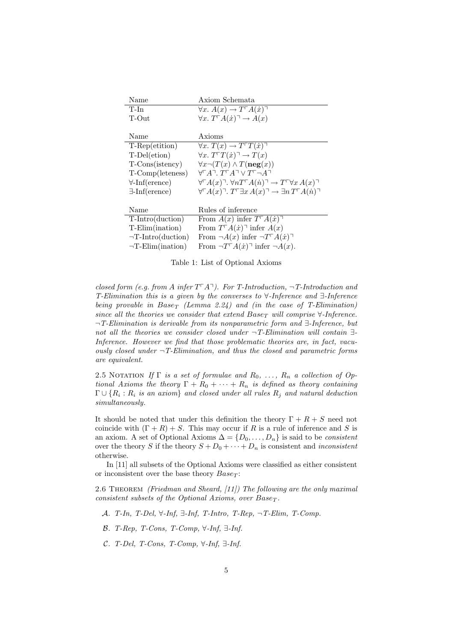| Name                            | Axiom Schemata                                                                                                               |
|---------------------------------|------------------------------------------------------------------------------------------------------------------------------|
| $T-In$                          | $\forall x. A(x) \rightarrow T \ulcorner A(\dot{x})$                                                                         |
| T-Out                           | $\forall x. T^{\sqsubset} A(\dot{x})^{\sqcap} \to A(x)$                                                                      |
|                                 |                                                                                                                              |
| Name                            | Axioms                                                                                                                       |
| T-Rep(etition)                  | $\forall x. T(x) \rightarrow T^{\dagger}T(\dot{x})$                                                                          |
| T-Del(etion)                    | $\forall x. T^{\sqsubset}T(\dot{x})^{\sqcap} \to T(x)$                                                                       |
| T-Cons(istency)                 | $\forall x \neg (T(x) \land T(\mathbf{neg}(x)))$                                                                             |
| T-Comp(leteness)                | $\forall \Box A \Box T \Box T \Box A \Box \lor T \Box A \Box$                                                                |
| $\forall$ -Inf(erence)          | $\forall \ulcorner A(x) \urcorner. \forall nT \ulcorner A(n) \urcorner \rightarrow T \ulcorner \forall x A(x) \urcorner$     |
| $\exists$ -Inf(erence)          | $\forall \ulcorner A(x) \urcorner$ . $T \urcorner \exists x A(x) \urcorner \rightarrow \exists n T \urcorner A(n) \urcorner$ |
|                                 |                                                                                                                              |
| Name                            | Rules of inference                                                                                                           |
| T-Intro(duction)                | From $A(x)$ infer $T^{\dagger}A(\dot{x})$                                                                                    |
| $T\text{-Elim}(\text{ination})$ | From $T^{\dagger}A(\dot{x})^{\dagger}$ infer $A(x)$                                                                          |
| $\neg$ T-Intro(duction)         | From $\neg A(x)$ infer $\neg T \neg A(x)$                                                                                    |
| $\neg$ T-Elim(ination)          | From $\neg T \ulcorner A(\dot{x}) \urcorner$ infer $\neg A(x)$ .                                                             |

Table 1: List of Optional Axioms

closed form (e.g. from A infer  $T \uparrow A$ ). For T-Introduction,  $\neg$ T-Introduction and T-Elimination this is a given by the converses to ∀-Inference and ∃-Inference being provable in  $Base_T$  (Lemma 2.24) and (in the case of T-Elimination) since all the theories we consider that extend  $Base_T$  will comprise  $\forall$ -Inference. ¬T-Elimination is derivable from its nonparametric form and ∃-Inference, but not all the theories we consider closed under ¬T-Elimination will contain ∃- Inference. However we find that those problematic theories are, in fact, vacuously closed under  $\neg$  T-Elimination, and thus the closed and parametric forms are equivalent.

2.5 NOTATION If  $\Gamma$  is a set of formulae and  $R_0, \ldots, R_n$  a collection of Optional Axioms the theory  $\Gamma + R_0 + \cdots + R_n$  is defined as theory containing  $\Gamma \cup \{R_i: R_i \,\,\hbox{is an axiom}\}$  and closed under all rules  $R_j$  and natural deduction simultaneously.

It should be noted that under this definition the theory  $\Gamma + R + S$  need not coincide with  $(\Gamma + R) + S$ . This may occur if R is a rule of inference and S is an axiom. A set of Optional Axioms  $\Delta = \{D_0, \ldots, D_n\}$  is said to be *consistent* over the theory S if the theory  $S + D_0 + \cdots + D_n$  is consistent and inconsistent otherwise.

In [11] all subsets of the Optional Axioms were classified as either consistent or inconsistent over the base theory  $Base_T$ :

2.6 THEOREM (Friedman and Sheard, [11]) The following are the only maximal consistent subsets of the Optional Axioms, over  $Base_T$ .

- A. T-In, T-Del, ∀-Inf, ∃-Inf, T-Intro, T-Rep, ¬T-Elim, T-Comp.
- B. T-Rep, T-Cons, T-Comp, ∀-Inf, ∃-Inf.
- C. T-Del, T-Cons, T-Comp, ∀-Inf, ∃-Inf.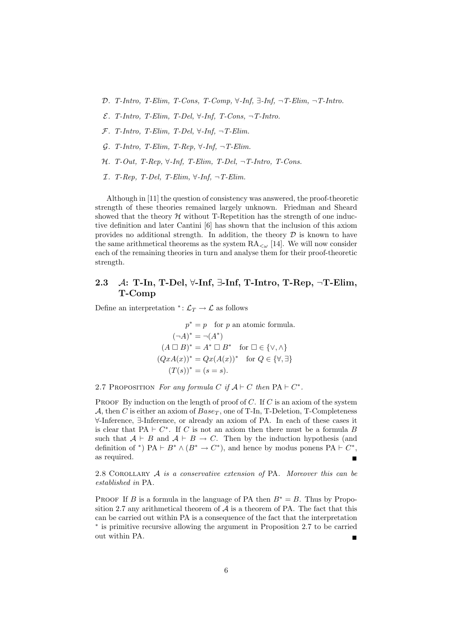- D. T-Intro, T-Elim, T-Cons, T-Comp, ∀-Inf, ∃-Inf, ¬T-Elim, ¬T-Intro.
- $E.$  T-Intro, T-Elim, T-Del,  $\forall$ -Inf, T-Cons,  $\neg$ T-Intro.
- $F.$  T-Intro, T-Elim, T-Del,  $\forall$ -Inf,  $\neg$ T-Elim.
- $G.$  T-Intro, T-Elim, T-Rep,  $\forall$ -Inf,  $\neg$ T-Elim.
- H. T-Out, T-Rep, ∀-Inf, T-Elim, T-Del, ¬T-Intro, T-Cons.
- $I.$  T-Rep, T-Del, T-Elim,  $\forall$ -Inf,  $\neg$ T-Elim.

Although in [11] the question of consistency was answered, the proof-theoretic strength of these theories remained largely unknown. Friedman and Sheard showed that the theory  $H$  without T-Repetition has the strength of one inductive definition and later Cantini [6] has shown that the inclusion of this axiom provides no additional strength. In addition, the theory  $\mathcal D$  is known to have the same arithmetical theorems as the system  $RA_{\leq \omega}$  [14]. We will now consider each of the remaining theories in turn and analyse them for their proof-theoretic strength.

# 2.3  $\mathcal{A}$ : T-In, T-Del,  $\forall$ -Inf,  $\exists$ -Inf, T-Intro, T-Rep,  $\neg$ T-Elim, T-Comp

Define an interpretation  ${}^*$ :  $\mathcal{L}_T \rightarrow \mathcal{L}$  as follows

$$
p^* = p \quad \text{for } p \text{ an atomic formula.}
$$

$$
(\neg A)^* = \neg (A^*)
$$

$$
(A \Box B)^* = A^* \Box B^* \quad \text{for } \Box \in \{\vee, \wedge\}
$$

$$
(QxA(x))^* = Qx(A(x))^* \quad \text{for } Q \in \{\forall, \exists\}
$$

$$
(T(s))^* = (s = s).
$$

2.7 PROPOSITION For any formula C if  $A \vdash C$  then  $PA \vdash C^*$ .

**PROOF** By induction on the length of proof of  $C$ . If  $C$  is an axiom of the system A, then C is either an axiom of  $Base_T$ , one of T-In, T-Deletion, T-Completeness ∀-Inference, ∃-Inference, or already an axiom of PA. In each of these cases it is clear that PA  $\vdash C^*$ . If C is not an axiom then there must be a formula B such that  $A \vdash B$  and  $A \vdash B \rightarrow C$ . Then by the induction hypothesis (and definition of \*)  $PA \vdash B^* \land (B^* \rightarrow C^*)$ , and hence by modus ponens  $PA \vdash C^*$ , as required.

2.8 COROLLARY A is a conservative extension of PA. Moreover this can be established in PA.

PROOF If B is a formula in the language of PA then  $B^* = B$ . Thus by Proposition 2.7 any arithmetical theorem of  $A$  is a theorem of PA. The fact that this can be carried out within PA is a consequence of the fact that the interpretation ∗ is primitive recursive allowing the argument in Proposition 2.7 to be carried out within PA.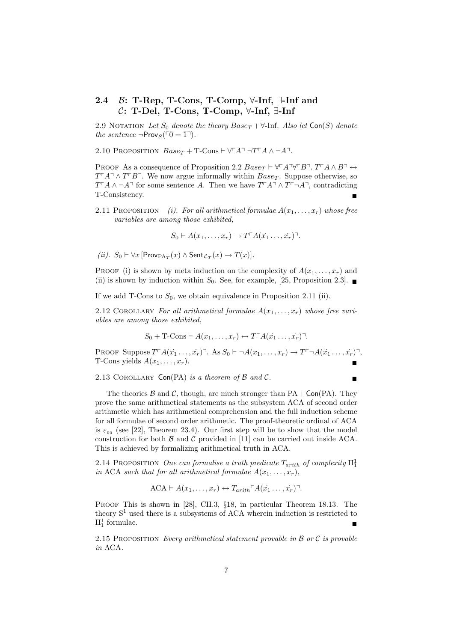# 2.4  $\beta$ : T-Rep, T-Cons, T-Comp,  $\forall$ -Inf,  $\exists$ -Inf and C: T-Del, T-Cons, T-Comp, ∀-Inf, ∃-Inf

2.9 NOTATION Let  $S_0$  denote the theory  $Base_T + \forall$ -Inf. Also let Con(S) denote the sentence  $\neg$ Prov<sub>S</sub>( $\ulcorner \bar{0} = \bar{1} \urcorner$ ).

2.10 PROPOSITION  $Base_T + T\text{-Cons} \vdash \forall \ulcorner A \urcorner \neg T \ulcorner A \wedge \neg A \urcorner.$ 

PROOF As a consequence of Proposition 2.2  $Base_T \vdash \forall \forall A \forall \forall B \exists T \land \forall B \exists \leftrightarrow$  $T\overline{ }A\overline{ } \wedge T\overline{ }B$ . We now argue informally within  $Base_T$ . Suppose otherwise, so  $T\overline{A} \wedge \neg A$ <sup> $\neg$ </sup> for some sentence A. Then we have  $T\overline{A} \wedge T\overline{A} \wedge T$ , contradicting T-Consistency.

2.11 PROPOSITION (i). For all arithmetical formulae  $A(x_1, \ldots, x_r)$  whose free variables are among those exhibited,

$$
S_0 \vdash A(x_1, \ldots, x_r) \to T \ulcorner A(x_1 \ldots, x_r) \urcorner.
$$

(*ii*).  $S_0 \vdash \forall x [\text{Prov}_{\text{PA}_T}(x) \land \text{Sent}_{\mathcal{L}_T}(x) \rightarrow T(x)].$ 

PROOF (i) is shown by meta induction on the complexity of  $A(x_1, \ldots, x_r)$  and (ii) is shown by induction within  $S_0$ . See, for example, [25, Proposition 2.3].

If we add T-Cons to  $S_0$ , we obtain equivalence in Proposition 2.11 (ii).

2.12 COROLLARY For all arithmetical formulae  $A(x_1, \ldots, x_r)$  whose free variables are among those exhibited,

$$
S_0 + \text{T-Cons} \vdash A(x_1, \ldots, x_r) \leftrightarrow T \ulcorner A(x_1 \ldots, x_r) \urcorner.
$$

PROOF Suppose  $T \cap A(x_1, \ldots, x_r)$ . As  $S_0 \vdash \neg A(x_1, \ldots, x_r) \rightarrow T \neg A(x_1, \ldots, x_r)$ , T-Cons yields  $A(x_1, \ldots, x_r)$ .

2.13 COROLLARY Con(PA) is a theorem of  $\beta$  and  $\beta$ .

The theories  $\beta$  and  $\beta$ , though, are much stronger than PA + Con(PA). They prove the same arithmetical statements as the subsystem ACA of second order arithmetic which has arithmetical comprehension and the full induction scheme for all formulae of second order arithmetic. The proof-theoretic ordinal of ACA is  $\varepsilon_{\varepsilon_0}$  (see [22], Theorem 23.4). Our first step will be to show that the model construction for both  $\beta$  and  $\beta$  provided in [11] can be carried out inside ACA. This is achieved by formalizing arithmetical truth in ACA.

2.14 PROPOSITION One can formalise a truth predicate  $T_{arith}$  of complexity  $\Pi_1^1$ in ACA such that for all arithmetical formulae  $A(x_1, \ldots, x_r)$ ,

$$
ACA \vdash A(x_1, \ldots, x_r) \leftrightarrow T_{arith} \ulcorner A(x_1 \ldots, x_r) \urcorner.
$$

PROOF This is shown in [28], CH.3, §18, in particular Theorem 18.13. The theory  $S<sup>1</sup>$  used there is a subsystems of ACA wherein induction is restricted to  $\Pi_1^1$  formulae.

2.15 PROPOSITION Every arithmetical statement provable in  $\beta$  or  $\mathcal C$  is provable in ACA.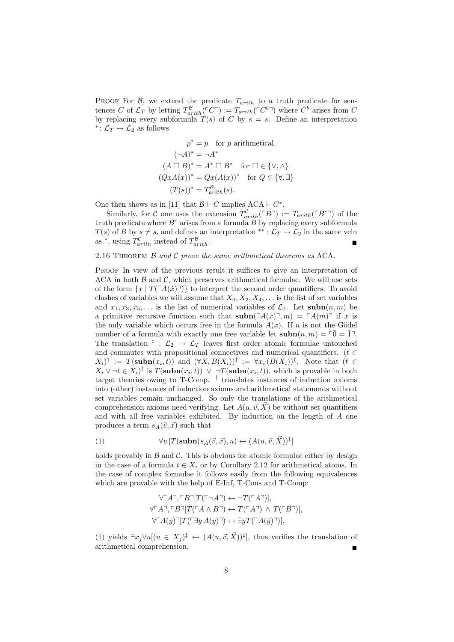PROOF For  $\mathcal{B}$ , we extend the predicate  $T_{arith}$  to a truth predicate for sentences C of  $\mathcal{L}_T$  by letting  $T_{arith}^{\mathcal{B}}(\ulcorner C \urcorner) := T_{arith}(\ulcorner C^{b} \urcorner)$  where  $C^b$  arises from C by replacing every subformula  $T(s)$  of C by  $s = s$ . Define an interpretation \*:  $\mathcal{L}_T \rightarrow \mathcal{L}_2$  as follows

$$
p^* = p \text{ for } p \text{ arithmetical.}
$$

$$
(\neg A)^* = \neg A^*
$$

$$
(A \Box B)^* = A^* \Box B^* \text{ for } \Box \in \{\vee, \wedge\}
$$

$$
(QxA(x))^* = Qx(A(x))^* \text{ for } Q \in \{\forall, \exists\}
$$

$$
(T(s))^* = T_{arith}^B(s).
$$

One then shows as in [11] that  $\mathcal{B} \vdash C$  implies  $ACA \vdash C^*$ .

Similarly, for C one uses the extension  $T_{arith}^{\mathcal{C}}(F B^{\neg}) := T_{arith}(F B^{c\neg})$  of the truth predicate where  $B<sup>c</sup>$  arises from a formula  $\overline{B}$  by replacing every subformula  $T(s)$  of B by  $s \neq s$ , and defines an interpretation \*\* :  $\mathcal{L}_T \to \mathcal{L}_2$  in the same vein as  $*$ , using  $T_{arith}^{\mathcal{C}}$  instead of  $T_{ar}^{\mathcal{B}}$  $\alpha$ rith.

#### 2.16 THEOREM  $\beta$  and  $\beta$  prove the same arithmetical theorems as ACA.

PROOF In view of the previous result it suffices to give an interpretation of ACA in both  $\beta$  and  $\beta$ , which preserves arithmetical formulae. We will use sets of the form  $\{x \mid T(\ulcorner A(\dot{x})\urcorner)\}$  to interpret the second order quantifiers. To avoid clashes of variables we will assume that  $X_0, X_2, X_4, \ldots$  is the list of set variables and  $x_1, x_3, x_5, \ldots$  is the list of numerical variables of  $\mathcal{L}_2$ . Let subn $(n, m)$  be a primitive recursive function such that  $\text{subn}(\ulcorner A(x) \urcorner, m) = \ulcorner A(\bar{m}) \urcorner$  if x is the only variable which occurs free in the formula  $A(x)$ . If n is not the Gödel number of a formula with exactly one free variable let  $\text{subn}(n, m) = \bar{0} = \bar{1}$ . The translation <sup>‡</sup> :  $\mathcal{L}_2 \rightarrow \mathcal{L}_T$  leaves first order atomic formulae untouched and commutes with propositional connectives and numerical quantifiers. ( $t \in$  $(X_i)^{\ddagger} := T(\textbf{subn}(x_i, t))$  and  $(\forall X_i B(X_i))^{\ddagger} := \forall x_i (B(X_i))^{\ddagger}$ . Note that  $(t \in$  $X_i \vee \neg t \in X_i$ <sup>†</sup> is  $T(\textbf{subn}(x_i, t)) \vee \neg T(\textbf{subn}(x_i, t))$ , which is provable in both target theories owing to T-Comp. ‡ translates instances of induction axioms into (other) instances of induction axioms and arithmetical statements without set variables remain unchanged. So only the translations of the arithmetical comprehension axioms need verifying. Let  $A(u, \vec{v}, \vec{X})$  be without set quantifiers and with all free variables exhibited. By induction on the length of A one produces a term  $s_A(\vec{v}, \vec{x})$  such that

(1) 
$$
\forall u \left[ T(\textbf{subn}(s_A(\vec{v}, \vec{x}), u) \leftrightarrow (A(u, \vec{v}, \vec{X}))^{\ddagger} \right]
$$

holds provably in  $\beta$  and  $\beta$ . This is obvious for atomic formulae either by design in the case of a formula  $t \in X_i$  or by Corollary 2.12 for arithmetical atoms. In the case of complex formulae it follows easily from the following equivalences which are provable with the help of E-Inf, T-Cons and T-Comp:

$$
\forall \ulcorner A \urcorner, \ulcorner B \urcorner [T(\ulcorner \neg A \urcorner) \leftrightarrow \neg T(\ulcorner A \urcorner)],
$$
\n
$$
\forall \ulcorner A \urcorner, \ulcorner B \urcorner [T(\ulcorner A \wedge B \urcorner) \leftrightarrow T(\ulcorner A \urcorner) \wedge T(\ulcorner B \urcorner)],
$$
\n
$$
\forall \ulcorner A(y) \urcorner [T(\ulcorner \exists y A(y) \urcorner) \leftrightarrow \exists y T(\ulcorner A(y) \urcorner)].
$$

(1) yields  $\exists x_j \forall u[(u \in X_j)^{\ddagger} \leftrightarrow (A(u, \vec{v}, \vec{X}))^{\ddagger}]$ , thus verifies the translation of arithmetical comprehension.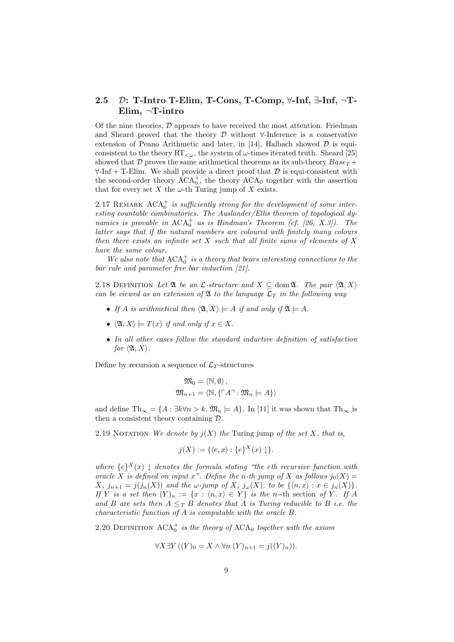# 2.5 D: T-Intro T-Elim, T-Cons, T-Comp, ∀-Inf, ∃-Inf, ¬T-Elim, ¬T-intro

Of the nine theories,  $D$  appears to have received the most attention. Friedman and Sheard proved that the theory  $\mathcal D$  without  $\forall$ -Inference is a conservative extension of Peano Arithmetic and later, in [14], Halbach showed  $D$  is equiconsistent to the theory  $RT_{\leq \omega}$ , the system of  $\omega$ -times iterated truth. Sheard [25] showed that  $D$  proves the same arithmetical theorems as its sub-theory  $Base_T +$  $\forall$ -Inf + T-Elim. We shall provide a direct proof that  $\mathcal D$  is equi-consistent with the second-order theory  $ACA_0^+$ , the theory  $ACA_0$  together with the assertion that for every set X the  $\omega$ -th Turing jump of X exists.

2.17 REMARK  $ACA<sub>0</sub><sup>+</sup>$  is sufficiently strong for the development of some interesting countable combinatorics. The Auslander/Ellis theorem of topological dynamics is provable in  $ACA_0^+$  as is Hindman's Theorem (cf. [26, X.3]). The latter says that if the natural numbers are coloured with finitely many colours then there exists an infinite set  $X$  such that all finite sums of elements of  $X$ have the same colour.

We also note that  $ACA_0^+$  is a theory that bears interesting connections to the bar rule and parameter free bar induction [21].

2.18 DEFINITION Let  $\mathfrak A$  be an *L*-structure and  $X \subseteq \text{dom } \mathfrak A$ . The pair  $\langle \mathfrak A, X \rangle$ can be viewed as an extension of  $\mathfrak A$  to the language  $\mathcal L_T$  in the following way

- If A is arithmetical then  $\langle \mathfrak{A}, X \rangle \models A$  if and only if  $\mathfrak{A} \models A$ .
- $\langle \mathfrak{A}, X \rangle \models T(x)$  if and only if  $x \in X$ .
- In all other cases follow the standard inductive definition of satisfaction for  $\langle \mathfrak{A}, X \rangle$ .

Define by recursion a sequence of  $\mathcal{L}_T$ -structures

$$
\mathfrak{M}_0 = \langle \mathbb{N}, \emptyset \rangle ,
$$
  

$$
\mathfrak{M}_{n+1} = \langle \mathbb{N}, \{ \ulcorner A \urcorner : \mathfrak{M}_n \models A \} \rangle
$$

and define  $\text{Th}_{\infty} = \{A : \exists k \forall n > k \colon \mathfrak{M}_n \models A\}.$  In [11] it was shown that  $\text{Th}_{\infty}$  is then a consistent theory containing D.

2.19 NOTATION We denote by  $j(X)$  the Turing jump of the set X, that is,

$$
j(X) := \{ \langle e, x \rangle : \{e\}^X(x) \downarrow \}.
$$

where  $\{e\}^X(x) \downarrow$  denotes the formula stating "the eth recursive function with oracle X is defined on input x". Define the n-th jump of X as follows  $j_0(X) =$  $X, j_{n+1} = j(j_n(X))$  and the  $\omega$ -jump of  $X, j_\omega(X)$ , to be  $\{\langle n, x \rangle : x \in j_n(X)\}.$ If Y is a set then  $(Y)_n := \{x : \langle n, x \rangle \in Y\}$  is the n-th section of Y. If A and B are sets then  $A \leq_T B$  denotes that A is Turing reducible to B i.e. the characteristic function of A is computable with the oracle B.

2.20 DEFINITION  $ACA_0^+$  is the theory of  $ACA_0$  together with the axiom

$$
\forall X \exists Y ((Y)_0 = X \land \forall n (Y)_{n+1} = j((Y)_n)).
$$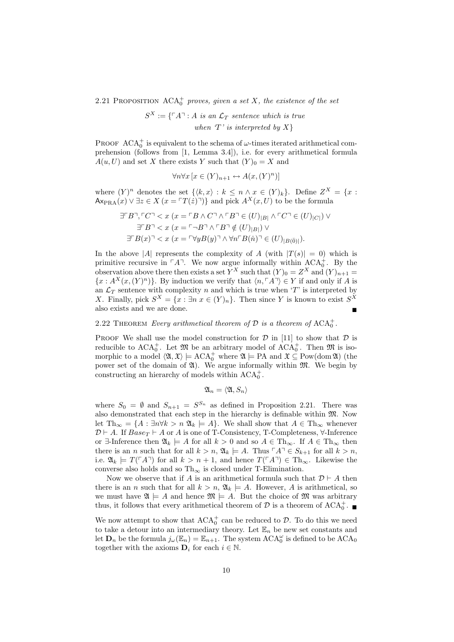2.21 PROPOSITION  $ACA_0^+$  proves, given a set X, the existence of the set

 $S^X := \{ \ulcorner A \urcorner : A \text{ is an } \mathcal{L}_T \text{ sentence which is true} \}$ when  $T'$  is interpreted by  $X$ }

PROOF  $ACA_0^+$  is equivalent to the schema of  $\omega$ -times iterated arithmetical comprehension (follows from [1, Lemma 3.4]), i.e. for every arithmetical formula  $A(u, U)$  and set X there exists Y such that  $(Y)_0 = X$  and

$$
\forall n \forall x \left[ x \in (Y)_{n+1} \leftrightarrow A(x, (Y)^n) \right]
$$

where  $(Y)^n$  denotes the set  $\{ \langle k, x \rangle : k \leq n \wedge x \in (Y)_k \}.$  Define  $Z^X = \{x :$  $\overrightarrow{Ax}_{\text{PRA}}(x) \vee \exists z \in X \ (x = \ulcorner T(\dot{z})\urcorner)$  and pick  $\overrightarrow{AX}(x, U)$  to be the formula

$$
\exists \ulcorner B \urcorner, \ulcorner C \urcorner < x \ (x = \ulcorner B \land C \urcorner \land \ulcorner B \urcorner \in (U)_{|B|} \land \ulcorner C \urcorner \in (U)_{|C|}) \lor \exists \ulcorner B \urcorner < x \ (x = \ulcorner \neg B \urcorner \land \ulcorner B \urcorner \notin (U)_{|B|}) \lor \exists \ulcorner B(x) \urcorner < x \ (x = \ulcorner \forall y B(y) \urcorner \land \forall n \ulcorner B(n) \urcorner \in (U)_{|B(\bar{0})|}).
$$

In the above |A| represents the complexity of A (with  $|T(s)| = 0$ ) which is primitive recursive in  $\ulcorner A \urcorner$ . We now argue informally within  $\text{ACA}_0^+$ . By the observation above there then exists a set  $Y^X$  such that  $(Y)_0 = Z^X$  and  $(Y)_{n+1} =$  ${x : A<sup>X</sup>(x, (Y)<sup>n</sup>)}.$  By induction we verify that  $\langle n, \ulcorner A \urcorner \rangle \in Y$  if and only if A is an  $\mathcal{L}_T$  sentence with complexity n and which is true when 'T' is interpreted by X. Finally, pick  $S^X = \{x : \exists n \ x \in (Y)_n\}$ . Then since Y is known to exist  $S^X$ also exists and we are done.

# 2.22 THEOREM Every arithmetical theorem of  $D$  is a theorem of  $ACA_0^+$ .

PROOF We shall use the model construction for  $D$  in [11] to show that  $D$  is reducible to  $ACA_0^+$ . Let  $\mathfrak M$  be an arbitrary model of  $ACA_0^+$ . Then  $\mathfrak M$  is isomorphic to a model  $\langle \mathfrak{A}, \mathfrak{X} \rangle \models ACA_0^+$  where  $\mathfrak{A} \models PA$  and  $\mathfrak{X} \subseteq \text{Pow}(\text{dom } \mathfrak{A})$  (the power set of the domain of  $\mathfrak{A}$ ). We argue informally within  $\mathfrak{M}$ . We begin by constructing an hierarchy of models within  $ACA_0^+$ .

$$
\mathfrak{A}_n = \langle \mathfrak{A}, S_n \rangle
$$

where  $S_0 = \emptyset$  and  $S_{n+1} = S^{S_n}$  as defined in Proposition 2.21. There was also demonstrated that each step in the hierarchy is definable within  $\mathfrak{M}$ . Now let  $\text{Th}_{\infty} = \{A : \exists n \forall k > n \; \mathfrak{A}_k \models A\}.$  We shall show that  $A \in \text{Th}_{\infty}$  whenever  $\mathcal{D} \vdash A$ . If  $Base_T \vdash A$  or A is one of T-Consistency, T-Completeness,  $\forall$ -Inference or ∃-Inference then  $\mathfrak{A}_k \models A$  for all  $k > 0$  and so  $A \in Th_{\infty}$ . If  $A \in Th_{\infty}$  then there is an n such that for all  $k > n$ ,  $\mathfrak{A}_k \models A$ . Thus  $\ulcorner A \urcorner \in S_{k+1}$  for all  $k > n$ , i.e.  $\mathfrak{A}_k \models T(\ulcorner A\urcorner)$  for all  $k > n+1$ , and hence  $T(\ulcorner A\urcorner) \in \mathrm{Th}_{\infty}$ . Likewise the converse also holds and so  $Th_{\infty}$  is closed under T-Elimination.

Now we observe that if A is an arithmetical formula such that  $\mathcal{D} \vdash A$  then there is an *n* such that for all  $k > n$ ,  $\mathfrak{A}_k \models A$ . However, A is arithmetical, so we must have  $\mathfrak{A} \models A$  and hence  $\mathfrak{M} \models A$ . But the choice of  $\mathfrak{M}$  was arbitrary thus, it follows that every arithmetical theorem of  $\mathcal D$  is a theorem of ACA<sup>+</sup>.

We now attempt to show that  $ACA_0^+$  can be reduced to  $\mathcal{D}$ . To do this we need to take a detour into an intermediary theory. Let  $\mathbb{E}_n$  be new set constants and let  $\mathbf{D}_n$  be the formula  $j_\omega(\mathbb{E}_n) = \mathbb{E}_{n+1}$ . The system  $\text{ACA}_0^\omega$  is defined to be  $\text{ACA}_0$ together with the axioms  $\mathbf{D}_i$  for each  $i \in \mathbb{N}$ .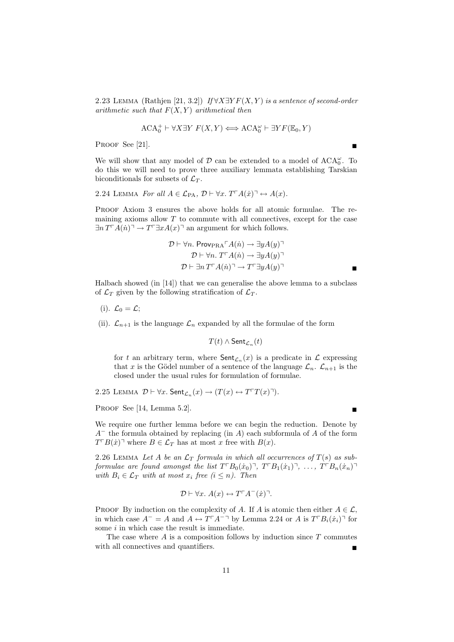2.23 LEMMA (Rathjen [21, 3.2]) If  $\forall X \exists Y F(X, Y)$  is a sentence of second-order arithmetic such that  $F(X, Y)$  arithmetical then

$$
\mathbf{ACA}^+_0\vdash \forall X\exists Y\ F(X,Y)\Longleftrightarrow \mathbf{ACA}^\omega_0\vdash \exists YF(\mathbb{E}_0,Y)
$$

PROOF See [21].

We will show that any model of  $D$  can be extended to a model of  $ACA_0^{\omega}$ . To do this we will need to prove three auxiliary lemmata establishing Tarskian biconditionals for subsets of  $\mathcal{L}_T$ .

2.24 LEMMA For all  $A \in \mathcal{L}_{\text{PA}}$ ,  $\mathcal{D} \vdash \forall x$ .  $T \ulcorner A(\dot{x}) \urcorner \leftrightarrow A(x)$ .

PROOF Axiom 3 ensures the above holds for all atomic formulae. The remaining axioms allow  $T$  to commute with all connectives, except for the case  $\exists n T^{\top}A(\dot{n})\rightarrow T^{\top}\exists xA(x)^{\top}$  an argument for which follows.

$$
\mathcal{D} \vdash \forall n. \text{ Prov}_{\text{PRA}} \ulcorner A(n) \rightarrow \exists y A(y) \urcorner \n\mathcal{D} \vdash \forall n. \ T \ulcorner A(n) \rightarrow \exists y A(y) \urcorner \n\mathcal{D} \vdash \exists n \ T \ulcorner A(n) \urcorner \rightarrow T \ulcorner \exists y A(y) \urcorner
$$

Halbach showed (in [14]) that we can generalise the above lemma to a subclass of  $\mathcal{L}_T$  given by the following stratification of  $\mathcal{L}_T$ .

(i).  $\mathcal{L}_0 = \mathcal{L};$ 

(ii).  $\mathcal{L}_{n+1}$  is the language  $\mathcal{L}_n$  expanded by all the formulae of the form

 $T(t)\wedge \mathsf{Sent}_{\mathcal{L}_n}(t)$ 

for t an arbitrary term, where  $\textsf{Sent}_{\mathcal{L}_n}(x)$  is a predicate in  $\mathcal L$  expressing that x is the Gödel number of a sentence of the language  $\mathcal{L}_n$ .  $\mathcal{L}_{n+1}$  is the closed under the usual rules for formulation of formulae.

2.25 LEMMA 
$$
\mathcal{D} \vdash \forall x
$$
.  $\mathsf{Sent}_{\mathcal{L}_n}(x) \to (T(x) \leftrightarrow T^{\sqsubset}T(x)^{\sqcap}).$ 

PROOF See [14, Lemma 5.2].

We require one further lemma before we can begin the reduction. Denote by  $A^-$  the formula obtained by replacing (in A) each subformula of A of the form  $T \cap B(x)$  where  $B \in \mathcal{L}_T$  has at most x free with  $B(x)$ .

2.26 LEMMA Let A be an  $\mathcal{L}_T$  formula in which all occurrences of  $T(s)$  as subformulae are found amongst the list  $T \mathbb{F}_{B_0}(\dot{x}_0)$ ,  $T \mathbb{F}_{B_1}(\dot{x}_1)$ , ...,  $T \mathbb{F}_{B_n}(\dot{x}_n)$ with  $B_i \in \mathcal{L}_T$  with at most  $x_i$  free  $(i \leq n)$ . Then

$$
\mathcal{D} \vdash \forall x. \ A(x) \leftrightarrow T \ulcorner A \ulcorner (\dot{x}) \urcorner.
$$

PROOF By induction on the complexity of A. If A is atomic then either  $A \in \mathcal{L}$ , in which case  $A^- = A$  and  $A \leftrightarrow T^{\dagger} A^{-\dagger}$  by Lemma 2.24 or A is  $T^{\dagger} B_i(\dot{x}_i)^{\dagger}$  for some  $i$  in which case the result is immediate.

The case where  $A$  is a composition follows by induction since  $T$  commutes with all connectives and quantifiers.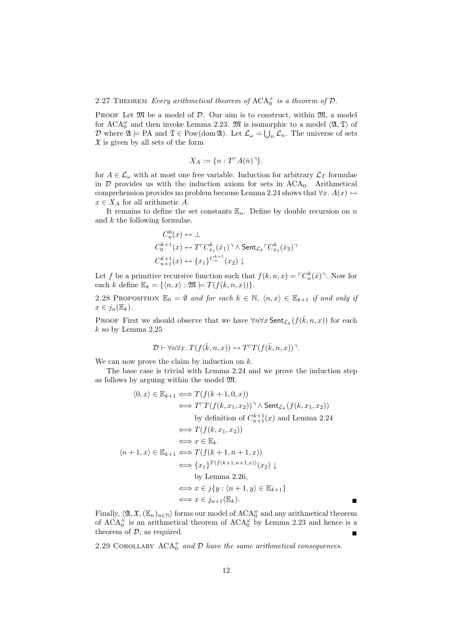PROOF Let  $\mathfrak{M}$  be a model of  $\mathcal{D}$ . Our aim is to construct, within  $\mathfrak{M}$ , a model for  $ACA_0^{\omega}$  and then invoke Lemma 2.23.  $\mathfrak{M}$  is isomorphic to a model  $\langle \mathfrak{A}, \mathfrak{T} \rangle$  of D where  $\mathfrak{A} \models \text{PA}$  and  $\mathfrak{T} \in \text{Pow}(\text{dom }\mathfrak{A})$ . Let  $\mathcal{L}_{\omega} = \bigcup_n \mathcal{L}_n$ . The universe of sets  $\mathfrak X$  is given by all sets of the form

$$
X_A := \{ n : T \ulcorner A(\dot{n}) \urcorner \}.
$$

for  $A \in \mathcal{L}_{\omega}$  with at most one free variable. Induction for arbitrary  $\mathcal{L}_T$  formulae in  $D$  provides us with the induction axiom for sets in  $ACA_0$ . Arithmetical comprehension provides no problem because Lemma 2.24 shows that  $\forall x. A(x) \leftrightarrow$  $x \in X_A$  for all arithmetic A.

It remains to define the set constants  $\mathbb{E}_n$ . Define by double recursion on n and  $k$  the following formulae.

$$
C_n^0(x) \leftrightarrow \bot
$$
  
\n
$$
C_0^{k+1}(x) \leftrightarrow T \ulcorner C_{\dot{x}_1}^k(\dot{x}_1) \urcorner \wedge \mathsf{Sent}_{\mathcal{L}_k} \ulcorner C_{\dot{x}_1}^k(\dot{x}_2) \urcorner
$$
  
\n
$$
C_{n+1}^{k+1}(x) \leftrightarrow \{x_1\}^{C_n^{k+1}}(x_2) \downarrow
$$

Let f be a primitive recursive function such that  $f(k, n, x) = \lceil C_n^k(x) \rceil$ . Now for each k define  $\mathbb{E}_k = \{ \langle n, x \rangle : \mathfrak{M} \models T(f(k, n, x)) \}.$ 

2.28 PROPOSITION  $\mathbb{E}_0 = \emptyset$  and for each  $k \in \mathbb{N}$ ,  $\langle n, x \rangle \in \mathbb{E}_{k+1}$  if and only if  $x \in j_n(\mathbb{E}_k)$ .

PROOF First we should observe that we have  $\forall n \forall x$  Sent $_{\mathcal{L}_k}(f(\bar{k},n,x))$  for each  $k$  so by Lemma 2.25

$$
\mathcal{D} \vdash \forall n \forall x. \ T(f(\bar{k}, n, x)) \leftrightarrow T \ulcorner T(f(\bar{k}, n, x)) \urcorner.
$$

We can now prove the claim by induction on  $k$ .

The base case is trivial with Lemma 2.24 and we prove the induction step as follows by arguing within the model M.

$$
\langle 0, x \rangle \in \mathbb{E}_{k+1} \iff T(f(k+1, 0, x))
$$
  
\n
$$
\iff T^{\top}T(f(k, x_1, x_2))^{\top} \land \mathsf{Sent}_{\mathcal{L}_k}(f(k, x_1, x_2))
$$
  
\nby definition of  $C_{n+1}^{k+1}(x)$  and Lemma 2.24  
\n
$$
\iff T(f(k, x_1, x_2))
$$
  
\n
$$
\iff x \in \mathbb{E}_k.
$$
  
\n
$$
\langle n+1, x \rangle \in \mathbb{E}_{k+1} \iff T(f(k+1, n+1, x))
$$
  
\n
$$
\iff \{x_1\}^{T(f(k+1, n+1, x))}(x_2) \downarrow
$$
  
\nby Lemma 2.26,  
\n
$$
\iff x \in j\{y : \langle n+1, y \rangle \in \mathbb{E}_{k+1}\}
$$
  
\n
$$
\iff x \in j_{n+1}(\mathbb{E}_k).
$$

Finally,  $\langle \mathfrak{A}, \mathfrak{X}, (\mathbb{E}_n)_{n \in \mathbb{N}} \rangle$  forms our model of  $ACA_0^{\omega}$  and any arithmetical theorem of  $ACA_0^+$  is an arithmetical theorem of  $ACA_0^{\omega}$  by Lemma 2.23 and hence is a theorem of  $D$ , as required.

2.29 COROLLARY  $ACA_0^+$  and  $D$  have the same arithmetical consequences.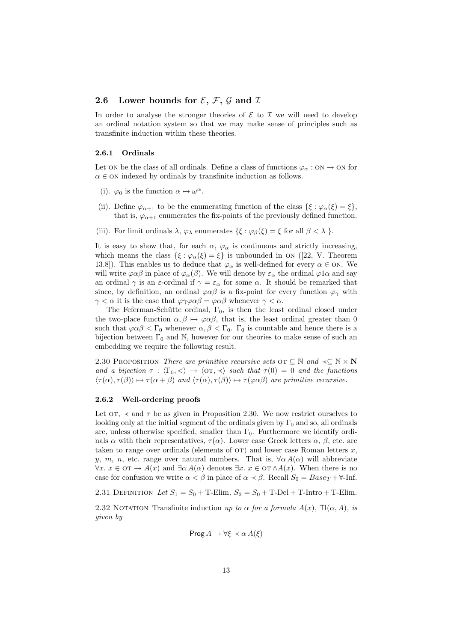### 2.6 Lower bounds for  $\mathcal{E}, \mathcal{F}, \mathcal{G}$  and  $\mathcal{I}$

In order to analyse the stronger theories of  $\mathcal E$  to  $\mathcal I$  we will need to develop an ordinal notation system so that we may make sense of principles such as transfinite induction within these theories.

#### 2.6.1 Ordinals

Let on be the class of all ordinals. Define a class of functions  $\varphi_{\alpha}:$  on  $\rightarrow$  on for  $\alpha \in \mathbb{N}$  indexed by ordinals by transfinite induction as follows.

- (i).  $\varphi_0$  is the function  $\alpha \mapsto \omega^{\alpha}$ .
- (ii). Define  $\varphi_{\alpha+1}$  to be the enumerating function of the class  $\{\xi : \varphi_{\alpha}(\xi) = \xi\},\$ that is,  $\varphi_{\alpha+1}$  enumerates the fix-points of the previously defined function.
- (iii). For limit ordinals  $\lambda$ ,  $\varphi_{\lambda}$  enumerates  $\{\xi : \varphi_{\beta}(\xi) = \xi \text{ for all } \beta < \lambda \}.$

It is easy to show that, for each  $\alpha$ ,  $\varphi_{\alpha}$  is continuous and strictly increasing, which means the class  $\{\xi : \varphi_\alpha(\xi) = \xi\}$  is unbounded in ON ([22, V. Theorem 13.8]). This enables us to deduce that  $\varphi_{\alpha}$  is well-defined for every  $\alpha \in \text{ON}$ . We will write  $\varphi \alpha \beta$  in place of  $\varphi_\alpha(\beta)$ . We will denote by  $\varepsilon_\alpha$  the ordinal  $\varphi 1\alpha$  and say an ordinal  $\gamma$  is an *ε*-ordinal if  $\gamma = \varepsilon_\alpha$  for some  $\alpha$ . It should be remarked that since, by definition, an ordinal  $\varphi \alpha \beta$  is a fix-point for every function  $\varphi_{\gamma}$  with  $\gamma < \alpha$  it is the case that  $\varphi \gamma \varphi \alpha \beta = \varphi \alpha \beta$  whenever  $\gamma < \alpha$ .

The Feferman-Schütte ordinal,  $\Gamma_0$ , is then the least ordinal closed under the two-place function  $\alpha, \beta \mapsto \varphi \alpha \beta$ , that is, the least ordinal greater than 0 such that  $\varphi \alpha \beta < \Gamma_0$  whenever  $\alpha, \beta < \Gamma_0$ .  $\Gamma_0$  is countable and hence there is a bijection between  $\Gamma_0$  and  $\mathbb{N}$ , however for our theories to make sense of such an embedding we require the following result.

2.30 PROPOSITION There are primitive recursive sets OT  $\subseteq \mathbb{N}$  and  $\prec \subseteq \mathbb{N} \times \mathbf{N}$ and a bijection  $\tau : \langle \Gamma_0, \langle \rangle \to \langle \text{OT}, \prec \rangle$  such that  $\tau(0) = 0$  and the functions  $\langle \tau(\alpha), \tau(\beta) \rangle \mapsto \tau(\alpha + \beta)$  and  $\langle \tau(\alpha), \tau(\beta) \rangle \mapsto \tau(\varphi \alpha \beta)$  are primitive recursive.

#### 2.6.2 Well-ordering proofs

Let  $\sigma$ ,  $\prec$  and  $\tau$  be as given in Proposition 2.30. We now restrict ourselves to looking only at the initial segment of the ordinals given by  $\Gamma_0$  and so, all ordinals are, unless otherwise specified, smaller than  $\Gamma_0$ . Furthermore we identify ordinals  $\alpha$  with their representatives,  $\tau(\alpha)$ . Lower case Greek letters  $\alpha$ ,  $\beta$ , etc. are taken to range over ordinals (elements of  $\sigma$ ) and lower case Roman letters  $x$ , y, m, n, etc. range over natural numbers. That is,  $\forall \alpha A(\alpha)$  will abbreviate  $\forall x. x \in \text{OT} \rightarrow A(x)$  and  $\exists \alpha A(\alpha)$  denotes  $\exists x. x \in \text{OT} \land A(x)$ . When there is no case for confusion we write  $\alpha < \beta$  in place of  $\alpha \prec \beta$ . Recall  $S_0 = Base_T + \forall$ -Inf.

2.31 DEFINITION Let  $S_1 = S_0 + T$ -Elim,  $S_2 = S_0 + T$ -Del + T-Intro + T-Elim.

2.32 NOTATION Transfinite induction up to  $\alpha$  for a formula  $A(x)$ , TI( $\alpha$ , A), is given by

$$
\text{Prog}\,A \to \forall \xi \prec \alpha \,A(\xi)
$$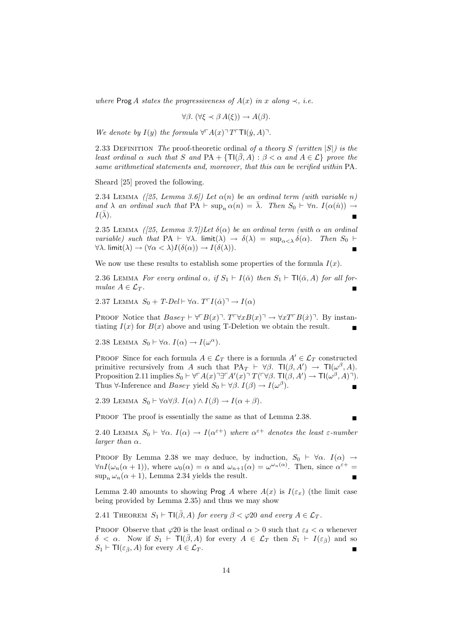where Prog A states the progressiveness of  $A(x)$  in x along  $\prec$ , i.e.

$$
\forall \beta. \ (\forall \xi \prec \beta \, A(\xi)) \rightarrow A(\beta).
$$

We denote by  $I(y)$  the formula  $\forall \forall A(x) \exists T \forall \exists I(\dot{y}, A) \exists$ .

2.33 DEFINITION The proof-theoretic ordinal of a theory S (written  $|S|$ ) is the least ordinal  $\alpha$  such that S and PA + { $\mathsf{TI}(\bar{\beta}, A) : \beta < \alpha$  and  $A \in \mathcal{L}$ } prove the same arithmetical statements and, moreover, that this can be verified within PA.

Sheard [25] proved the following.

2.34 LEMMA ([25, Lemma 3.6]) Let  $\alpha(n)$  be an ordinal term (with variable n) and  $\lambda$  an ordinal such that  $PA \vdash \sup_n \alpha(n) = \overline{\lambda}$ . Then  $S_0 \vdash \forall n$ .  $I(\alpha(n)) \rightarrow$  $I(\bar{\lambda}).$ 

2.35 LEMMA ([25, Lemma 3.7])Let  $\delta(\alpha)$  be an ordinal term (with  $\alpha$  an ordinal variable) such that PA  $\vdash \forall \lambda$ . limit $(\lambda) \rightarrow \delta(\lambda) = \sup_{\alpha \leq \lambda} \delta(\alpha)$ . Then  $S_0$   $\vdash$  $\forall \lambda$ . limit $(\lambda) \rightarrow (\forall \alpha < \lambda) I(\delta(\alpha)) \rightarrow I(\delta(\lambda))$ .

We now use these results to establish some properties of the formula  $I(x)$ .

2.36 LEMMA For every ordinal  $\alpha$ , if  $S_1 \vdash I(\bar{\alpha})$  then  $S_1 \vdash \textsf{TI}(\bar{\alpha}, A)$  for all formulae  $A \in \mathcal{L}_T$ .

2.37 LEMMA  $S_0 + T\text{-}Del \vdash \forall \alpha$ .  $T\ulcorner I(\dot{\alpha})\urcorner \rightarrow I(\alpha)$ 

PROOF Notice that  $Base_T \vdash \forall \Box B(x) \exists . T\Box \forall xB(x) \exists \rightarrow \forall xT\Box B(x) \exists$ . By instantiating  $I(x)$  for  $B(x)$  above and using T-Deletion we obtain the result.

2.38 LEMMA  $S_0 \vdash \forall \alpha$ .  $I(\alpha) \rightarrow I(\omega^{\alpha})$ .

PROOF Since for each formula  $A \in \mathcal{L}_T$  there is a formula  $A' \in \mathcal{L}_T$  constructed primitive recursively from A such that  $PA_T \vdash \forall \beta$ . TI $(\beta, A') \rightarrow \text{TI}(\omega^{\beta}, A)$ . Proposition 2.11 implies  $S_0 \vdash \forall \ulcorner A(x) \urcorner \exists \ulcorner A'(x) \urcorner T(\ulcorner \forall \beta \ldotp \mathsf{TI}(\beta, A') \rightarrow \mathsf{TI}(\omega^{\beta}, A) \urcorner).$ Thus  $\forall$ -Inference and  $Base_T$  yield  $S_0 \vdash \forall \beta$ .  $I(\beta) \rightarrow I(\omega^{\beta})$  $\blacksquare$ 

2.39 LEMMA  $S_0 \vdash \forall \alpha \forall \beta$ .  $I(\alpha) \wedge I(\beta) \rightarrow I(\alpha + \beta)$ .

PROOF The proof is essentially the same as that of Lemma 2.38.

2.40 LEMMA  $S_0 \vdash \forall \alpha$ .  $I(\alpha) \rightarrow I(\alpha^{\epsilon+})$  where  $\alpha^{\epsilon+}$  denotes the least  $\varepsilon$ -number larger than  $\alpha$ .

PROOF By Lemma 2.38 we may deduce, by induction,  $S_0$   $\vdash \forall \alpha$ .  $I(\alpha) \rightarrow$  $\forall n I(\omega_n(\alpha+1)),$  where  $\omega_0(\alpha) = \alpha$  and  $\omega_{n+1}(\alpha) = \omega^{\omega_n(\alpha)}$ . Then, since  $\alpha^{\varepsilon+1} =$  $\sup_n \omega_n(\alpha + 1)$ , Lemma 2.34 yields the result.

Lemma 2.40 amounts to showing Prog A where  $A(x)$  is  $I(\varepsilon_x)$  (the limit case being provided by Lemma 2.35) and thus we may show

2.41 THEOREM  $S_1 \vdash \mathsf{TI}(\bar{\beta}, A)$  for every  $\beta < \varphi$ 20 and every  $A \in \mathcal{L}_T$ .

PROOF Observe that  $\varphi$ 20 is the least ordinal  $\alpha > 0$  such that  $\varepsilon_{\delta} < \alpha$  whenever  $\delta < \alpha$ . Now if  $S_1 \vdash \textsf{TI}(\bar{\beta}, A)$  for every  $A \in \mathcal{L}_T$  then  $S_1 \vdash I(\varepsilon_{\bar{\beta}})$  and so  $S_1 \vdash \mathsf{TI}(\varepsilon_{\bar{\beta}}, A)$  for every  $A \in \mathcal{L}_T$ .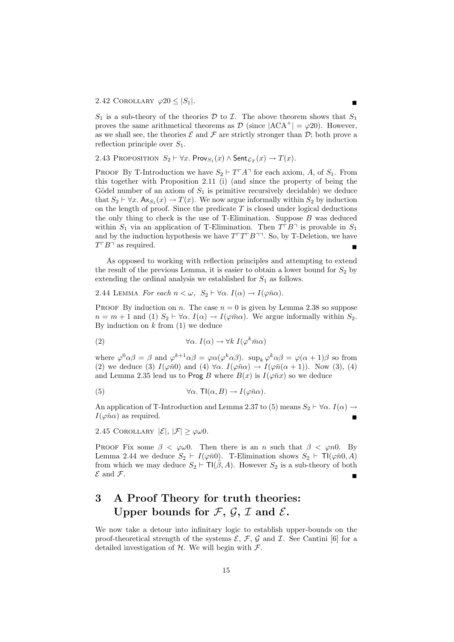2.42 COROLLARY  $\varphi 20 \leq |S_1|$ .

 $S_1$  is a sub-theory of the theories  $\mathcal D$  to  $\mathcal I$ . The above theorem shows that  $S_1$ proves the same arithmetical theorems as  $\mathcal{D}$  (since  $|ACA^+| = \varphi 20$ ). However, as we shall see, the theories  $\mathcal E$  and  $\mathcal F$  are strictly stronger than  $\mathcal D$ ; both prove a reflection principle over  $S_1$ .

2.43 PROPOSITION  $S_2 \vdash \forall x$ . Prov $S_1(x) \wedge \mathsf{Sent}_{\mathcal{L}_T}(x) \rightarrow T(x)$ .

PROOF By T-Introduction we have  $S_2 \vdash T \ulcorner A \urcorner$  for each axiom, A, of  $S_1$ . From this together with Proposition 2.11 (i) (and since the property of being the Gödel number of an axiom of  $S_1$  is primitive recursively decidable) we deduce that  $S_2 \vdash \forall x$ .  $\mathsf{Ax}_{S_1}(x) \to T(x)$ . We now argue informally within  $S_2$  by induction on the length of proof. Since the predicate  $T$  is closed under logical deductions the only thing to check is the use of  $T$ -Elimination. Suppose  $B$  was deduced within  $S_1$  via an application of T-Elimination. Then  $T\overline{B}$  is provable in  $S_1$ and by the induction hypothesis we have  $T\ulcorner T\ulcorner B\urcorner\urcorner$ . So, by T-Deletion, we have  $T \cap B$ <sup> $\exists$ </sup> as required.

As opposed to working with reflection principles and attempting to extend the result of the previous Lemma, it is easier to obtain a lower bound for  $S_2$  by extending the ordinal analysis we established for  $S_1$  as follows.

2.44 LEMMA For each  $n < \omega$ ,  $S_2 \vdash \forall \alpha$ .  $I(\alpha) \rightarrow I(\varphi \bar{n} \alpha)$ .

PROOF By induction on n. The case  $n = 0$  is given by Lemma 2.38 so suppose  $n = m + 1$  and (1)  $S_2 \vdash \forall \alpha$ .  $I(\alpha) \rightarrow I(\varphi \bar{m}\alpha)$ . We argue informally within  $S_2$ . By induction on  $k$  from  $(1)$  we deduce

(2) 
$$
\forall \alpha \, I(\alpha) \to \forall k \, I(\varphi^k \bar{m} \alpha)
$$

where  $\varphi^0 \alpha \beta = \beta$  and  $\varphi^{k+1} \alpha \beta = \varphi \alpha (\varphi^k \alpha \beta)$ .  $\sup_k \varphi^k \alpha \beta = \varphi(\alpha+1) \beta$  so from (2) we deduce (3)  $I(\varphi \bar{n}0)$  and (4)  $\forall \alpha$ .  $I(\varphi \bar{n} \alpha) \rightarrow I(\varphi \bar{n}(\alpha+1))$ . Now (3), (4) and Lemma 2.35 lead us to Prog B where  $B(x)$  is  $I(\varphi \bar{n}x)$  so we deduce

(5) 
$$
\forall \alpha. \; \mathsf{Tl}(\alpha, B) \to I(\varphi \bar{n} \alpha).
$$

An application of T-Introduction and Lemma 2.37 to (5) means  $S_2 \vdash \forall \alpha$ .  $I(\alpha) \rightarrow$  $I(\varphi \bar{n}\alpha)$  as required.

2.45 COROLLARY  $|\mathcal{E}|, |\mathcal{F}| \geq \varphi \omega_0$ .

PROOF Fix some  $\beta < \varphi \omega 0$ . Then there is an n such that  $\beta < \varphi n0$ . By Lemma 2.44 we deduce  $S_2 \vdash I(\varphi \bar{n}0)$ . T-Elimination shows  $S_2 \vdash \mathsf{TI}(\varphi \bar{n}0, A)$ from which we may deduce  $S_2 \vdash \mathsf{TI}(\bar{\beta}, A)$ . However  $S_2$  is a sub-theory of both  $\mathcal E$  and  $\mathcal F$ .

# 3 A Proof Theory for truth theories: Upper bounds for  $\mathcal{F}, \mathcal{G}, \mathcal{I}$  and  $\mathcal{E}.$

We now take a detour into infinitary logic to establish upper-bounds on the proof-theoretical strength of the systems  $\mathcal{E}, \mathcal{F}, \mathcal{G}$  and  $\mathcal{I}$ . See Cantini [6] for a detailed investigation of  $H$ . We will begin with  $\mathcal{F}$ .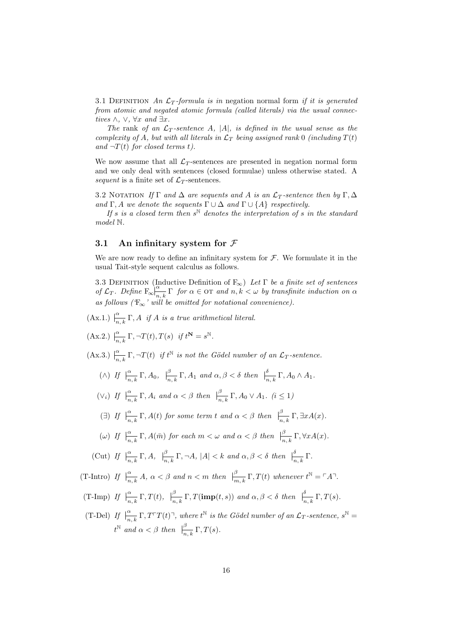3.1 DEFINITION An  $\mathcal{L}_T$ -formula is in negation normal form if it is generated from atomic and negated atomic formula (called literals) via the usual connectives  $\wedge$ ,  $\vee$ ,  $\forall x$  and  $\exists x$ .

The rank of an  $\mathcal{L}_T$ -sentence A, |A|, is defined in the usual sense as the complexity of A, but with all literals in  $\mathcal{L}_T$  being assigned rank 0 (including  $T(t)$ ) and  $\neg T(t)$  for closed terms t).

We now assume that all  $\mathcal{L}_T$ -sentences are presented in negation normal form and we only deal with sentences (closed formulae) unless otherwise stated. A sequent is a finite set of  $\mathcal{L}_T$ -sentences.

3.2 NOTATION If  $\Gamma$  and  $\Delta$  are sequents and A is an  $\mathcal{L}_T$ -sentence then by  $\Gamma, \Delta$ and Γ, A we denote the sequents  $\Gamma \cup \Delta$  and  $\Gamma \cup \{A\}$  respectively.

If s is a closed term then  $s^{\mathbb{N}}$  denotes the interpretation of s in the standard model N.

### 3.1 An infinitary system for  $\mathcal F$

We are now ready to define an infinitary system for  $\mathcal{F}$ . We formulate it in the usual Tait-style sequent calculus as follows.

3.3 DEFINITION (Inductive Definition of  $F_{\infty}$ ) Let  $\Gamma$  be a finite set of sentences of  $\mathcal{L}_T$ . Define  $F_{\infty}$  $\frac{\alpha}{n,k}$   $\Gamma$  for  $\alpha \in \text{OT}$  and  $n, k < \omega$  by transfinite induction on  $\alpha$ as follows ( $F_{\infty}$ ' will be omitted for notational convenience).

 $(Ax.1.) \mid_{n,k}^{\alpha} \Gamma, A \text{ if } A \text{ is a true arithmetical literal.}$ 

 $(\text{Ax}.2.) \mid_{n,k}^{\alpha} \Gamma, \neg T(t), T(s) \text{ if } t^{\mathbf{N}} = s^{\mathbb{N}}.$ 

(Ax.3.)  $\left| \frac{\alpha}{n,k} \right| \Gamma, \neg T(t)$  if  $t^{\mathbb{N}}$  is not the Gödel number of an  $\mathcal{L}_T$ -sentence.

- $(\wedge)$  If  $\Big|_{n,k}^{\alpha}$   $\Gamma$ ,  $A_0$ ,  $\Big|_n^{\beta}$  $\frac{\beta}{n,k} \Gamma, A_1$  and  $\alpha, \beta < \delta$  then  $\Big|_{n,k}^{\delta} \Gamma, A_0 \wedge A_1$ .
- $(\forall i)$  If  $\Big|\frac{\alpha}{n,k}\Gamma,A_i$  and  $\alpha < \beta$  then  $\Big|\frac{\beta}{n,k}\Gamma,A_0 \vee A_1.\ \ (i \leq 1)$
- ( $\exists$ ) If  $\frac{\alpha}{n,k} \Gamma$ ,  $A(t)$  for some term t and  $\alpha < \beta$  then  $\frac{\beta}{n,k} \Gamma$ ,  $\exists x A(x)$ .
- (w) If  $\Big|_{n,k}^{\alpha} \Gamma$ ,  $A(\bar{m})$  for each  $m < \omega$  and  $\alpha < \beta$  then  $\Big|_{n,k}^{\beta} \Gamma$ ,  $\forall x A(x)$ .

$$
\text{(Cut)} \ \text{If} \ \vert \frac{\alpha}{n,k} \Gamma, A, \ \vert \frac{\beta}{n,k} \Gamma, \neg A, \ \vert A \vert < k \ \text{and} \ \alpha, \beta < \delta \ \text{then} \ \vert \frac{\delta}{n,k} \Gamma.
$$

(T-Intro) If  $\Big|_{n,k}^{\alpha} A, \alpha < \beta \text{ and } n < m \text{ then } \Big|_{m,k}^{\beta} \Gamma, T(t) \text{ whenever } t^{\mathbb{N}} = \ulcorner A \urcorner.$ 

- $(T\text{-Imp})$  If  $\frac{\alpha}{n,k}$   $\Gamma, T(t), \ \frac{\beta}{n}$  $\frac{\beta}{n,k} \Gamma, T(\textbf{imp}(t,s))$  and  $\alpha, \beta < \delta$  then  $\frac{\delta}{n,k} \Gamma, T(s)$ .
- (T-Del) If  $\Big|_{n,k}^{\alpha} \Gamma, T^{\dagger}T(t)^{\dagger}$ , where  $t^{\mathbb{N}}$  is the Gödel number of an  $\mathcal{L}_T$ -sentence,  $s^{\mathbb{N}} =$  $t^{\mathbb{N}}$  and  $\alpha < \beta$  then  $\Big|_{n,\,k}^{\beta} \Gamma, T(s)$ .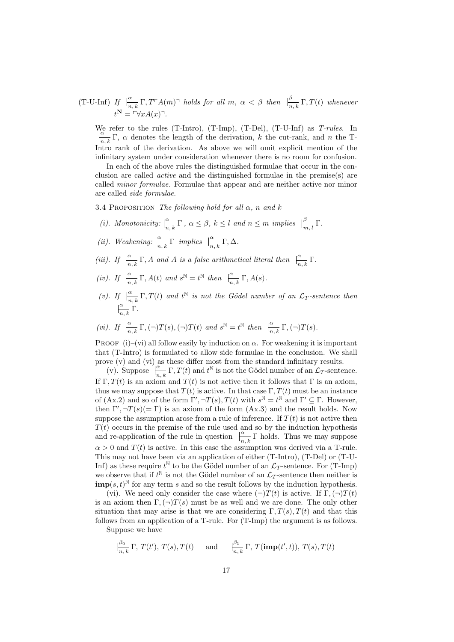$(T-U-Inf)$  If  $\Big|_{n,k}^{\alpha} \Gamma, T \Gamma A(\bar{m})$ <sup>n</sup> holds for all m,  $\alpha < \beta$  then  $\Big|_{n,k}^{\beta} \Gamma, T(t)$  whenever t  $\mathbf{N} = \ulcorner \forall x A(x) \urcorner.$ 

We refer to the rules (T-Intro), (T-Imp), (T-Del), (T-U-Inf) as T-rules. In α  $\frac{\alpha}{n,k}$  Γ,  $\alpha$  denotes the length of the derivation, k the cut-rank, and n the T-Intro rank of the derivation. As above we will omit explicit mention of the infinitary system under consideration whenever there is no room for confusion.

In each of the above rules the distinguished formulae that occur in the conclusion are called active and the distinguished formulae in the premise(s) are called minor formulae. Formulae that appear and are neither active nor minor are called side formulae.

3.4 PROPOSITION The following hold for all  $\alpha$ , n and k

- (i). Monotonicity:  $\frac{\alpha}{n,k} \Gamma$ ,  $\alpha \leq \beta$ ,  $k \leq l$  and  $n \leq m$  implies  $\frac{\beta}{m,l} \Gamma$ .
- (*ii*). Weakening:  $\frac{\alpha}{n,k} \Gamma$  implies  $\frac{\alpha}{n,k} \Gamma, \Delta$ .
- (iii). If  $\Big|_{n,k}^{\alpha} \Gamma$ , A and A is a false arithmetical literal then  $\Big|_{n,k}^{\alpha} \Gamma$ .
- (iv). If  $\Big|_{n,k}^{\alpha} \Gamma$ ,  $A(t)$  and  $s^{\mathbb{N}} = t^{\mathbb{N}}$  then  $\Big|_{n,k}^{\alpha} \Gamma$ ,  $A(s)$ .
- (v). If  $\int_{n,k}^{\alpha} \Gamma_{n} T(t)$  and  $t^{\mathbb{N}}$  is not the Gödel number of an  $\mathcal{L}_{T}$ -sentence then α  $n, k$ Γ.
- (vi). If  $\Big|_{n,k}^{\alpha} \Gamma,(\neg)T(s),(\neg)T(t) \text{ and } s^{\mathbb{N}} = t^{\mathbb{N}} \text{ then } \Big|_{n,k}^{\alpha} \Gamma,(\neg)T(s).$

PROOF (i)–(vi) all follow easily by induction on  $\alpha$ . For weakening it is important that (T-Intro) is formulated to allow side formulae in the conclusion. We shall prove (v) and (vi) as these differ most from the standard infinitary results.

(v). Suppose  $\Big|_{n,k}^{\alpha} \Gamma, T(t) \text{ and } t^{\mathbb{N}}$  is not the Gödel number of an  $\mathcal{L}_T$ -sentence. If  $\Gamma, T(t)$  is an axiom and  $T(t)$  is not active then it follows that  $\Gamma$  is an axiom, thus we may suppose that  $T(t)$  is active. In that case  $\Gamma, T(t)$  must be an instance of (Ax.2) and so of the form  $\Gamma', \neg T(s)$ ,  $T(t)$  with  $s^{\mathbb{N}} = t^{\mathbb{N}}$  and  $\Gamma' \subseteq \Gamma$ . However, then  $\Gamma', \neg T(s) (= \Gamma)$  is an axiom of the form (Ax.3) and the result holds. Now suppose the assumption arose from a rule of inference. If  $T(t)$  is not active then  $T(t)$  occurs in the premise of the rule used and so by the induction hypothesis and re-application of the rule in question  $\frac{\alpha}{n,k} \Gamma$  holds. Thus we may suppose  $\alpha > 0$  and  $T(t)$  is active. In this case the assumption was derived via a T-rule. This may not have been via an application of either (T-Intro), (T-Del) or (T-U-Inf) as these require  $t^{\mathbb{N}}$  to be the Gödel number of an  $\mathcal{L}_T$ -sentence. For (T-Imp) we observe that if  $t^{\mathbb{N}}$  is not the Gödel number of an  $\mathcal{L}_T$ -sentence then neither is  $\text{imp}(s,t)^{\mathbb{N}}$  for any term s and so the result follows by the induction hypothesis.

(vi). We need only consider the case where  $(\neg)T(t)$  is active. If  $\Gamma,(\neg)T(t)$ is an axiom then  $\Gamma,(\neg)T(s)$  must be as well and we are done. The only other situation that may arise is that we are considering  $\Gamma, T(s), T(t)$  and that this follows from an application of a T-rule. For (T-Imp) the argument is as follows.

Suppose we have

$$
\Big|_{n,k}^{\beta_0} \Gamma,\, T(t'),\, T(s), T(t) \quad \text{and} \quad \Big|_{n,k}^{\beta_1} \Gamma,\, T(\textbf{imp}(t',t)),\, T(s), T(t)
$$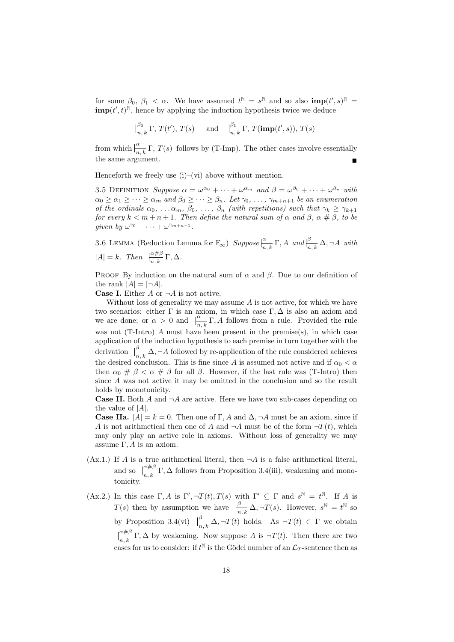for some  $\beta_0, \beta_1 < \alpha$ . We have assumed  $t^{\mathbb{N}} = s^{\mathbb{N}}$  and so also  $\text{imp}(t', s)^{\mathbb{N}} =$  $\text{imp}(t',t)^{\mathbb{N}},$  hence by applying the induction hypothesis twice we deduce

$$
\big|_{n,\,k}^{\beta_0} \Gamma,\,T(t'),\,T(s) \quad \text{ and } \quad \big|_{n,\,k}^{\beta_1} \Gamma,\,T(\textbf{imp}(t',s)),\,T(s)
$$

from which  $\frac{\alpha}{\vert n,k\vert} \Gamma$ ,  $T(s)$  follows by (T-Imp). The other cases involve essentially the same argument.

Henceforth we freely use  $(i)$ – $(vi)$  above without mention.

3.5 DEFINITION Suppose  $\alpha = \omega^{\alpha_0} + \cdots + \omega^{\alpha_m}$  and  $\beta = \omega^{\beta_0} + \cdots + \omega^{\beta_n}$  with  $\alpha_0 \geq \alpha_1 \geq \cdots \geq \alpha_m$  and  $\beta_0 \geq \cdots \geq \beta_n$ . Let  $\gamma_0, \ldots, \gamma_{m+n+1}$  be an enumeration of the ordinals  $\alpha_0, \ldots, \alpha_m, \beta_0, \ldots, \beta_n$  (with repetitions) such that  $\gamma_k \geq \gamma_{k+1}$ for every  $k < m+n+1$ . Then define the natural sum of  $\alpha$  and  $\beta$ ,  $\alpha \neq \beta$ , to be given by  $\omega^{\gamma_0} + \cdots + \omega^{\gamma_{m+n+1}}$ .

3.6 LEMMA (Reduction Lemma for  $F_{\infty}$ )  $Suppose \frac{\alpha}{n,k} \Gamma, A \text{ and } \frac{\beta}{n,k} \Delta, \neg A \text{ with}$  $|A| = k$ . Then  $\lim_{n,k} \Gamma, \Delta$ .

PROOF By induction on the natural sum of  $\alpha$  and  $\beta$ . Due to our definition of the rank  $|A| = |\neg A|$ .

**Case I.** Either A or  $\neg A$  is not active.

Without loss of generality we may assume  $A$  is not active, for which we have two scenarios: either  $\Gamma$  is an axiom, in which case  $\Gamma, \Delta$  is also an axiom and we are done; or  $\alpha > 0$  and  $\frac{\alpha}{n,k} \Gamma$ , A follows from a rule. Provided the rule was not  $(T\text{-}Intro)$  A must have been present in the premise $(s)$ , in which case application of the induction hypothesis to each premise in turn together with the derivation  $\Big|_{n,k}^{\beta} \Delta$ , ¬A followed by re-application of the rule considered achieves the desired conclusion. This is fine since A is assumed not active and if  $\alpha_0 < \alpha$ then  $\alpha_0 \# \beta < \alpha \# \beta$  for all  $\beta$ . However, if the last rule was (T-Intro) then since A was not active it may be omitted in the conclusion and so the result holds by monotonicity.

**Case II.** Both A and  $\neg A$  are active. Here we have two sub-cases depending on the value of |A|.

**Case IIa.**  $|A| = k = 0$ . Then one of Γ, A and  $\Delta$ ,  $\neg A$  must be an axiom, since if A is not arithmetical then one of A and  $\neg A$  must be of the form  $\neg T(t)$ , which may only play an active role in axioms. Without loss of generality we may assume  $\Gamma$ , A is an axiom.

- (Ax.1.) If A is a true arithmetical literal, then  $\neg A$  is a false arithmetical literal, and so  $\frac{\alpha+\beta}{n,k}\Gamma$ ,  $\Delta$  follows from Proposition 3.4(iii), weakening and monotonicity.
- (Ax.2.) In this case  $\Gamma$ , A is  $\Gamma'$ ,  $\neg T(t)$ ,  $T(s)$  with  $\Gamma' \subseteq \Gamma$  and  $s^{\mathbb{N}} = t^{\mathbb{N}}$ . If A is  $T(s)$  then by assumption we have  $\frac{\beta}{n,k} \Delta, \neg T(s)$ . However,  $s^{\mathbb{N}} = t^{\mathbb{N}}$  so by Proposition 3.4(vi)  $\Big|\frac{\beta}{n,k}\Delta,\neg T(t)\Big|$  holds. As  $\neg T(t)\in\Gamma$  we obtain  $\alpha \# \beta$  $\frac{\partial H}{\partial n,k}$   $\Gamma$ ,  $\Delta$  by weakening. Now suppose A is  $\neg T(t)$ . Then there are two cases for us to consider: if  $t^{\mathbb{N}}$  is the Gödel number of an  $\mathcal{L}_T$ -sentence then as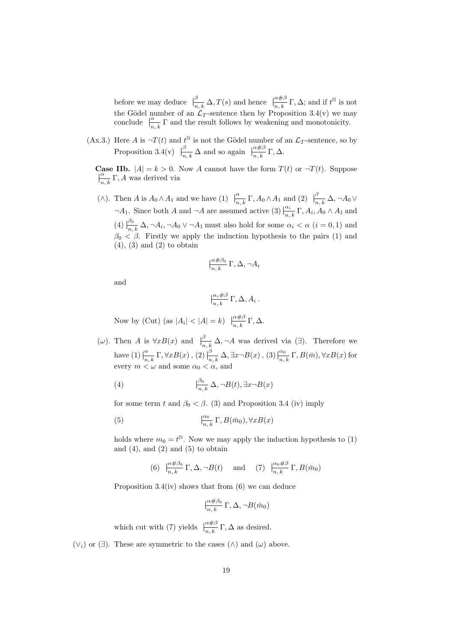before we may deduce  $\frac{\beta}{n,k} \Delta, T(s)$  and hence  $\frac{\alpha \# \beta}{n,k} \Gamma, \Delta$ ; and if  $t^{\mathbb{N}}$  is not the Gödel number of an  $\mathcal{L}_T$ -sentence then by Proposition 3.4(v) we may conclude  $\frac{\alpha}{n,k} \Gamma$  and the result follows by weakening and monotonicity.

(Ax.3.) Here A is  $\neg T(t)$  and  $t^{\mathbb{N}}$  is not the Gödel number of an  $\mathcal{L}_T$ -sentence, so by Proposition 3.4(v)  $\Big|_{n,k}^{\beta} \Delta$  and so again  $\Big|_{n,k}^{\alpha \# \beta} \Gamma, \Delta$ .

**Case IIb.**  $|A| = k > 0$ . Now A cannot have the form  $T(t)$  or  $\neg T(t)$ . Suppose  $\frac{\alpha}{n,k} \Gamma$ , A was derived via

(∧). Then A is  $A_0 \wedge A_1$  and we have (1)  $\frac{\alpha}{n,k} \Gamma$ ,  $A_0 \wedge A_1$  and (2)  $\frac{\beta}{n,k} \Delta$ ,  $\neg A_0 \vee$  $\neg A_1$ . Since both A and  $\neg A$  are assumed active (3)  $\left| \frac{\alpha_i}{n,k} \right| \Gamma$ ,  $A_i$ ,  $A_0 \wedge A_1$  and (4)  $\frac{\beta_0}{n,k} \Delta, \neg A_i, \neg A_0 \vee \neg A_1$  must also hold for some  $\alpha_i < \alpha$   $(i = 0, 1)$  and  $\beta_0 < \beta$ . Firstly we apply the induction hypothesis to the pairs (1) and  $(4)$ ,  $(3)$  and  $(2)$  to obtain

$$
\big|_{n,k}^{\alpha\#\beta_0} \Gamma, \Delta, \neg A_i
$$

and

$$
\frac{\alpha_i \# \beta}{n, k} \Gamma, \Delta, A_i .
$$

Now by (Cut) (as  $|A_i| < |A| = k$ )  $\frac{\alpha \# \beta}{n k}$  $\frac{\alpha}{n,k} \Gamma, \Delta.$ 

(ω). Then A is  $\forall x B(x)$  and  $\mid_{n,k}^{\beta} \Delta, \neg A$  was derived via (∃). Therefore we have  $(1) \frac{\alpha}{n,k} \Gamma, \forall x B(x)$  ,  $(2) \frac{\beta}{n,k} \Delta, \exists x \neg B(x)$  ,  $(3) \frac{\alpha_0}{n,k} \Gamma, B(\bar{m}), \forall x B(x)$  for every  $m < \omega$  and some  $\alpha_0 < \alpha$ , and

(4) 
$$
\Big|_{n,k}^{\beta_0} \Delta, \neg B(t), \exists x \neg B(x)
$$

for some term t and  $\beta_0 < \beta$ . (3) and Proposition 3.4 (iv) imply

(5) 
$$
\frac{\alpha_0}{n,k} \Gamma, B(\bar{m}_0), \forall x B(x)
$$

holds where  $m_0 = t^{\mathbb{N}}$ . Now we may apply the induction hypothesis to (1) and  $(4)$ , and  $(2)$  and  $(5)$  to obtain

(6) 
$$
\left| \frac{\alpha \# \beta_0}{n, k} \right| \Gamma, \Delta, \neg B(t)
$$
 and (7)  $\left| \frac{\alpha_0 \# \beta}{n, k} \Gamma, B(\bar{m}_0) \right|$ 

Proposition 3.4(iv) shows that from (6) we can deduce

$$
\big|_{n,k}^{\alpha\#\beta_0} \Gamma, \Delta, \neg B(\bar{m}_0)
$$

which cut with (7) yields  $\frac{\alpha+\beta}{n,k} \Gamma, \Delta$  as desired.

 $(\vee_i)$  or  $(\exists)$ . These are symmetric to the cases  $(\wedge)$  and  $(\omega)$  above.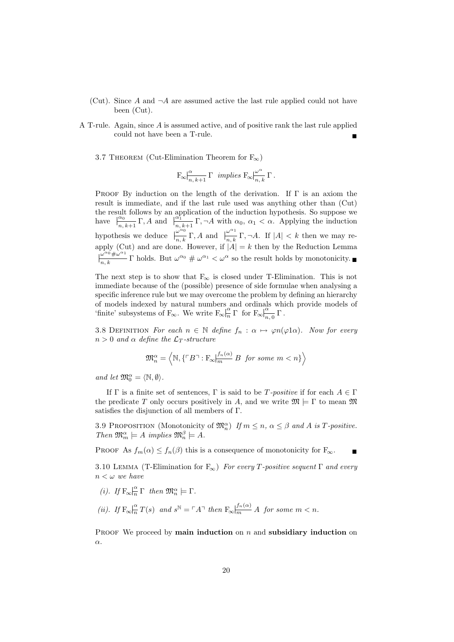- (Cut). Since A and  $\neg A$  are assumed active the last rule applied could not have been (Cut).
- A T-rule. Again, since A is assumed active, and of positive rank the last rule applied could not have been a T-rule.
	- 3.7 THEOREM (Cut-Elimination Theorem for  $F_{\infty}$ )

$$
\mathbf{F}_{\!\infty}\!\!\left|_{\!\!\!\!\frac{\alpha}{n,k+1}}^{\alpha}\Gamma\!\!\!\!\! \right. \implies \mathbf{F}_{\!\infty}\!\!\left|_{\!\!\!\frac{\alpha}{n,k}}^{\omega^{\alpha}}\Gamma\!\!\!\!\right. .
$$

PROOF By induction on the length of the derivation. If  $\Gamma$  is an axiom the result is immediate, and if the last rule used was anything other than (Cut) the result follows by an application of the induction hypothesis. So suppose we have  $\left|\frac{\alpha_0}{n, k+1}\right|$ ,  $A$  and  $\left|\frac{\alpha_1}{n, k+1}\right|$ ,  $\neg A$  with  $\alpha_0, \alpha_1 < \alpha$ . Applying the induction hypothesis we deduce  $\int_{a}^{\omega^{\alpha_0}}$  $\frac{\omega^{\alpha_0}}{n,k}$   $\Gamma$ , A and  $\Big|\frac{\omega^{\alpha_1}}{n,k}\Big|$  $\frac{\omega}{n,k} \Gamma, \neg A$ . If  $|A| < k$  then we may reapply (Cut) and are done. However, if  $|A| = k$  then by the Reduction Lemma  $\frac{\omega^{0}+\omega^{0}}{n,k}$   $\Gamma$  holds. But  $\omega^{\alpha_0} \neq \omega^{\alpha_1} < \omega^{\alpha}$  so the result holds by monotonicity.

The next step is to show that  $F_{\infty}$  is closed under T-Elimination. This is not immediate because of the (possible) presence of side formulae when analysing a specific inference rule but we may overcome the problem by defining an hierarchy of models indexed by natural numbers and ordinals which provide models of 'finite' subsystems of  $F_{\infty}$ . We write  $F_{\infty}$   $\Big|_{n}^{\alpha}$   $\Gamma$  for  $F_{\infty}$   $\Big|_{n}^{\alpha}$  $\frac{a}{n,0}\Gamma$ .

3.8 DEFINITION For each  $n \in \mathbb{N}$  define  $f_n : \alpha \mapsto \varphi n(\varphi 1\alpha)$ . Now for every  $n > 0$  and  $\alpha$  define the  $\mathcal{L}_T$ -structure

$$
\mathfrak{M}_n^{\alpha} = \left\langle \mathbb{N}, \left\{ \ulcorner B \urcorner : \mathcal{F}_{\infty} \middle| \frac{f_n(\alpha)}{m} \, B \text{ for some } m < n \right\} \right\rangle
$$

and let  $\mathfrak{M}^{\alpha}_{0} = \langle \mathbb{N}, \emptyset \rangle$ .

If Γ is a finite set of sentences, Γ is said to be T-positive if for each  $A \in \Gamma$ the predicate T only occurs positively in A, and we write  $\mathfrak{M} \models \Gamma$  to mean  $\mathfrak{M}$ satisfies the disjunction of all members of Γ.

3.9 PROPOSITION (Monotonicity of  $\mathfrak{M}_n^{\alpha}$ ) If  $m \leq n$ ,  $\alpha \leq \beta$  and A is T-positive. Then  $\mathfrak{M}_m^{\alpha} \models A$  implies  $\mathfrak{M}_n^{\beta} \models A$ .

PROOF As  $f_m(\alpha) \leq f_n(\beta)$  this is a consequence of monotonicity for  $F_\infty$ .

3.10 LEMMA (T-Elimination for  $F_{\infty}$ ) For every T-positive sequent  $\Gamma$  and every  $n < \omega$  we have

- (*i*). If  $F_{\infty}|_{n}^{\alpha} \Gamma$  then  $\mathfrak{M}_{n}^{\alpha} \models \Gamma$ .
- (*ii*). If  $\mathbb{F}_{\infty}$   $\Big|_n^{\alpha}$  $\frac{\alpha}{n}T(s)$  and  $s^{\mathbb{N}} = \ulcorner A \urcorner$  then  $F_{\infty}$  $\vert \frac{f_n(\alpha)}{m} A$  for some  $m < n$ .

PROOF We proceed by main induction on  $n$  and subsidiary induction on α.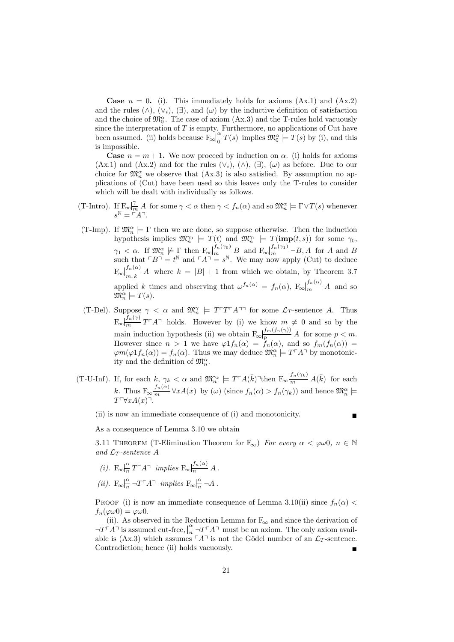**Case**  $n = 0$ . (i). This immediately holds for axioms  $(Ax.1)$  and  $(Ax.2)$ and the rules  $(\wedge), (\vee_i), (\exists)$ , and  $(\omega)$  by the inductive definition of satisfaction and the choice of  $\mathfrak{M}^{\alpha}_{0}$ . The case of axiom (Ax.3) and the T-rules hold vacuously since the interpretation of  $T$  is empty. Furthermore, no applications of Cut have been assumed. (ii) holds because  $F_{\infty}$   $\alpha$  $\frac{\alpha}{0} T(s)$  implies  $\mathfrak{M}_0^{\alpha} \models T(s)$  by (i), and this is impossible.

**Case**  $n = m + 1$ . We now proceed by induction on  $\alpha$ . (i) holds for axioms (Ax.1) and (Ax.2) and for the rules  $(\vee_i)$ ,  $(\wedge)$ ,  $(\exists)$ ,  $(\omega)$  as before. Due to our choice for  $\mathfrak{M}^{\alpha}_{n}$  we observe that (Ax.3) is also satisfied. By assumption no applications of (Cut) have been used so this leaves only the T-rules to consider which will be dealt with individually as follows.

- (T-Intro). If  $\mathbb{F}_{\infty}$   $\Big|_{m}^{\gamma}$  A for some  $\gamma < \alpha$  then  $\gamma < f_n(\alpha)$  and so  $\mathfrak{M}_n^{\alpha} \models \Gamma \vee T(s)$  whenever  $s^{\mathbb{N}} = \ulcorner A \urcorner$ .
- (T-Imp). If  $\mathfrak{M}_n^{\alpha} \models \Gamma$  then we are done, so suppose otherwise. Then the induction hypothesis implies  $\mathfrak{M}_n^{\gamma_0} \models T(t)$  and  $\mathfrak{M}_n^{\gamma_1} \models T(\text{imp}(t,s))$  for some  $\gamma_0$ ,  $\gamma_1 < \alpha$ . If  $\mathfrak{M}_n^{\alpha} \not\models \Gamma$  then  $F_{\infty}$   $\Big|_{m}^{f_n(\gamma_0)} B$  and  $F_{\infty}$   $\Big|_{m}^{f_n(\gamma_1)} \Big|_{m} \Big|_{m}$   $\Box B$ , A for A and B such that  $\ulcorner B \urcorner = t^{\mathbb{N}}$  and  $\ulcorner A \urcorner = s^{\mathbb{N}}$ . We may now apply (Cut) to deduce  $F_{\infty}$  $\frac{f_n(\alpha)}{m-k}$  $\lim_{m,k} A$  where  $k = |B| + 1$  from which we obtain, by Theorem 3.7 applied k times and observing that  $\omega^{f_n(\alpha)} = f_n(\alpha)$ ,  $F_{\infty} \big|_{m=0}^{f_n(\alpha)} A$  and so  $\mathfrak{M}_n^{\alpha} \models T(s).$
- (T-Del). Suppose  $\gamma < \alpha$  and  $\mathfrak{M}_{n}^{\gamma} \models T^{\top}T^{\top}A^{\top}$  for some  $\mathcal{L}_T$ -sentence A. Thus  $F_{\infty}$  $\Big|_{m}^{f_n(\gamma)}$  T<sup> $\tau$ </sup>A<sup> $\tau$ </sup> holds. However by (i) we know  $m \neq 0$  and so by the main induction hypothesis (ii) we obtain  $F_{\infty}$  $\left| \frac{f_m(f_n(\gamma))}{p} A \right|$  for some  $p < m$ . However since  $n > 1$  we have  $\varphi 1f_n(\alpha) = f_n(\alpha)$ , and so  $f_m(f_n(\alpha)) =$  $\varphi m(\varphi 1f_n(\alpha)) = f_n(\alpha)$ . Thus we may deduce  $\mathfrak{M}_n^{\alpha} \models T^{\top}A^{\top}$  by monotonicity and the definition of  $\mathfrak{M}_n^{\alpha}$ .
- (T-U-Inf). If, for each  $k, \gamma_k < \alpha$  and  $\mathfrak{M}_{n}^{\gamma_k} \models T^{\sqsubset} A(\bar{k})$ <sup>-then</sup>  $F_{\infty}$  $\Big|_{m}^{f_n(\gamma_k)} A(\bar{k})$  for each k. Thus  $F_{\infty}$  $\Big|_{m}^{f_n(\alpha)} \forall x A(x)$  by  $(\omega)$  (since  $f_n(\alpha) > f_n(\gamma_k)$ ) and hence  $\mathfrak{M}_n^{\alpha} \models$  $T\ulcorner \forall x A(x) \urcorner$ .
	- (ii) is now an immediate consequence of (i) and monotonicity.

As a consequence of Lemma 3.10 we obtain

3.11 THEOREM (T-Elimination Theorem for  $F_{\infty}$ ) For every  $\alpha < \varphi \omega 0$ ,  $n \in \mathbb{N}$ and  $\mathcal{L}_T$ -sentence A

- (*i*).  $F_{\infty} | \frac{\alpha}{n}$  $\frac{\alpha}{n} T^{\dagger} A^{\dagger}$  implies  $F_{\infty}$  $\Big|_{n}^{\frac{f_n(\alpha)}{n}} A$ .
- (ii).  $F_{\infty}|_{\overline{n}}^{\alpha} \neg T^{\vdash} A^{\urcorner}$  implies  $F_{\infty}|_{\overline{n}}^{\alpha} \neg A$ .

PROOF (i) is now an immediate consequence of Lemma 3.10(ii) since  $f_n(\alpha)$  $f_n(\varphi\omega 0) = \varphi\omega 0.$ 

(ii). As observed in the Reduction Lemma for  $F_{\infty}$  and since the derivation of  $\neg T \overrightarrow{A}$  is assumed cut-free,  $\left| \frac{\alpha}{n} \right| \neg T \overrightarrow{A}$  must be an axiom. The only axiom available is (Ax.3) which assumes  $\ulcorner A\urcorner$  is not the Gödel number of an  $\mathcal{L}_T$ -sentence. Contradiction; hence (ii) holds vacuously.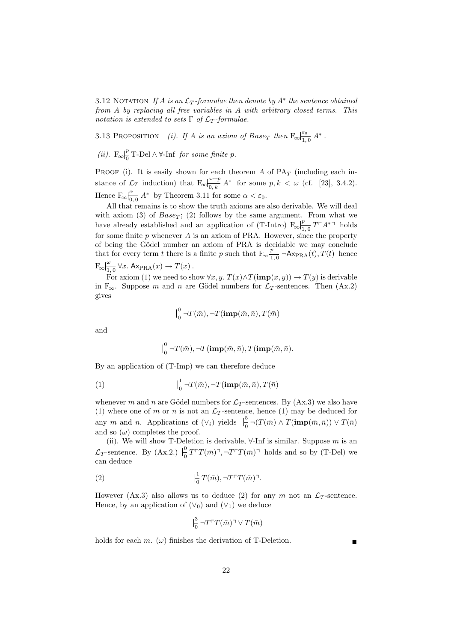3.12 NOTATION If A is an  $\mathcal{L}_T$ -formulae then denote by  $A^*$  the sentence obtained from A by replacing all free variables in A with arbitrary closed terms. This notation is extended to sets  $\Gamma$  of  $\mathcal{L}_T$ -formulae.

3.13 PROPOSITION (i). If A is an axiom of Base<sub>T</sub> then  $F_{\infty}$  $\Big|_{1}^{\varepsilon_0}$  $\frac{\varepsilon_0}{1,0}$   $A^*$  .

(ii).  $F_{\infty}$  $\Big|_0^p$  $\frac{p}{0}$  T-Del  $\wedge \forall$ -Inf *for some finite p*.

PROOF (i). It is easily shown for each theorem A of  $PA_T$  (including each instance of  $\mathcal{L}_T$  induction) that  $F_{\infty}$  $\frac{\omega+p}{\omega}$  $\frac{\omega+p}{0,k} A^*$  for some  $p, k < \omega$  (cf. [23], 3.4.2). Hence  $F_{\infty}$  $\frac{\alpha}{\alpha}$  $\frac{\alpha}{0,0}$   $A^*$  by Theorem 3.11 for some  $\alpha < \varepsilon_0$ .

All that remains is to show the truth axioms are also derivable. We will deal with axiom (3) of  $Base_T$ ; (2) follows by the same argument. From what we have already established and an application of (T-Intro)  $F_{\infty}$  $\frac{p}{1,0}$  T<sup>г</sup>A<sup>∗¬</sup> holds for some finite  $p$  whenever  $A$  is an axiom of PRA. However, since the property of being the Gödel number an axiom of PRA is decidable we may conclude that for every term t there is a finite p such that  $F_{\infty}$  $\frac{p}{1}$  $\frac{P}{1,0} \neg \mathsf{Ax}_\text{PRA}(t), T(t)$  hence  $F_{\infty}$  $\frac{\omega}{1}$  $\frac{x}{1,0}$   $\forall x.$  Ax<sub>PRA</sub> $(x) \rightarrow T(x)$ .

For axiom (1) we need to show  $\forall x, y$ .  $T(x) \wedge T(\text{imp}(x, y)) \rightarrow T(y)$  is derivable in  $F_{\infty}$ . Suppose m and n are Gödel numbers for  $\mathcal{L}_T$ -sentences. Then (Ax.2) gives

$$
\frac{1}{0} \, \neg T(\bar{m}), \neg T(\mathbf{imp}(\bar{m}, \bar{n}), T(\bar{m})
$$

and

$$
|_{\overline{0}}^0 \neg T(\bar{m}), \neg T(\textbf{imp}(\bar{m}, \bar{n}), T(\textbf{imp}(\bar{m}, \bar{n}).
$$

By an application of (T-Imp) we can therefore deduce

(1) 
$$
\Big|_{0}^{\frac{1}{2}} \neg T(\bar{m}), \neg T(\mathbf{imp}(\bar{m}, \bar{n}), T(\bar{n})\Big|
$$

whenever m and n are Gödel numbers for  $\mathcal{L}_T$ -sentences. By  $(Ax.3)$  we also have (1) where one of m or n is not an  $\mathcal{L}_T$ -sentence, hence (1) may be deduced for any m and n. Applications of  $(\vee_i)$  yields  $\frac{5}{0} \neg (T(\bar{m}) \wedge T(\mathbf{imp}(\bar{m}, \bar{n})) \vee T(\bar{n})$ and so  $(\omega)$  completes the proof.

(ii). We will show T-Deletion is derivable,  $\forall$ -Inf is similar. Suppose m is an  $\mathcal{L}_T$ -sentence. By (Ax.2.)  $\big|_0^0 T^{\top}T(\bar{m})^{\top}, \neg T^{\top}T(\bar{m})^{\top}$  holds and so by (T-Del) we can deduce

(2) 
$$
\Big| \frac{1}{0} T(\bar{m}), \neg T^{\top} T(\bar{m})^{\top}.
$$

However (Ax.3) also allows us to deduce (2) for any m not an  $\mathcal{L}_T$ -sentence. Hence, by an application of  $(\vee_0)$  and  $(\vee_1)$  we deduce

$$
\frac{3}{0} \neg T \ulcorner T(\bar{m}) \urcorner \vee T(\bar{m})
$$

holds for each m.  $(\omega)$  finishes the derivation of T-Deletion.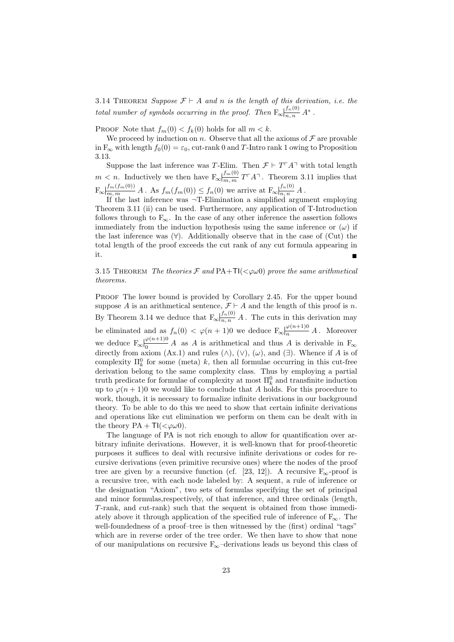3.14 THEOREM Suppose  $\mathcal{F} \vdash A$  and n is the length of this derivation, i.e. the total number of symbols occurring in the proof. Then  $F_{\infty}$  $\Big|_{n,\,n}^{f_n(0)}$   $A^*$ .

PROOF Note that  $f_m(0) < f_k(0)$  holds for all  $m < k$ .

We proceed by induction on n. Observe that all the axioms of  $\mathcal F$  are provable in  $F_{\infty}$  with length  $f_0(0) = \varepsilon_0$ , cut-rank 0 and T-Intro rank 1 owing to Proposition 3.13.

Suppose the last inference was T-Elim. Then  $\mathcal{F} \vdash T \ulcorner A \urcorner$  with total length  $m < n$ . Inductively we then have  $F_{\infty}$  $\frac{f_m(0)}{m, m} T \cap A$ <sup>-1</sup>. Theorem 3.11 implies that  $F_{\infty}$  $\big|_{m,m}^{f_m(f_m(0))} A$ . As  $f_m(f_m(0)) \leq f_n(0)$  we arrive at  $F_{\infty}$  $\big|_{n,n}^{f_n(0)} A$ .

If the last inference was ¬T-Elimination a simplified argument employing Theorem 3.11 (ii) can be used. Furthermore, any application of T-Introduction follows through to  $F_{\infty}$ . In the case of any other inference the assertion follows immediately from the induction hypothesis using the same inference or  $(\omega)$  if the last inference was  $(\forall)$ . Additionally observe that in the case of (Cut) the total length of the proof exceeds the cut rank of any cut formula appearing in it.

3.15 THEOREM The theories  $\mathcal F$  and  $PA+TI(<\varphi\omega 0)$  prove the same arithmetical theorems.

PROOF The lower bound is provided by Corollary 2.45. For the upper bound suppose A is an arithmetical sentence,  $\mathcal{F} \vdash A$  and the length of this proof is n. By Theorem 3.14 we deduce that  $F_{\infty}$  $\vert_{n,n}^{f_n(0)} A$ . The cuts in this derivation may be eliminated and as  $f_n(0) < \varphi(n+1)0$  we deduce  $F_{\infty}$   $\Big|_{n=0}^{\varphi(n+1)0} A$ . Moreover we deduce  $F_{\infty}$   $\frac{\varphi(n+1)0}{0}$  $\frac{\varphi(n+1)\sigma}{0}$  A as A is arithmetical and thus A is derivable in  $F_{\infty}$ directly from axiom (Ax.1) and rules ( $\wedge$ ), ( $\vee$ ),  $(\omega)$ , and ( $\exists$ ). Whence if A is of complexity  $\Pi_k^0$  for some (meta) k, then all formulae occurring in this cut-free derivation belong to the same complexity class. Thus by employing a partial truth predicate for formulae of complexity at most  $\Pi_k^0$  and transfinite induction up to  $\varphi(n+1)$  we would like to conclude that A holds. For this procedure to work, though, it is necessary to formalize infinite derivations in our background theory. To be able to do this we need to show that certain infinite derivations and operations like cut elimination we perform on them can be dealt with in the theory  $PA + \mathsf{T} I(<\varphi \omega 0)$ .

The language of PA is not rich enough to allow for quantification over arbitrary infinite derivations. However, it is well-known that for proof-theoretic purposes it suffices to deal with recursive infinite derivations or codes for recursive derivations (even primitive recursive ones) where the nodes of the proof tree are given by a recursive function (cf. [23, 12]). A recursive  $F_{\infty}$ -proof is a recursive tree, with each node labeled by: A sequent, a rule of inference or the designation "Axiom", two sets of formulas specifying the set of principal and minor formulas,respectively, of that inference, and three ordinals (length, T-rank, and cut-rank) such that the sequent is obtained from those immediately above it through application of the specified rule of inference of  $F_{\infty}$ . The well-foundedness of a proof-tree is then witnessed by the (first) ordinal "tags" which are in reverse order of the tree order. We then have to show that none of our manipulations on recursive  $F_{\infty}$ -derivations leads us beyond this class of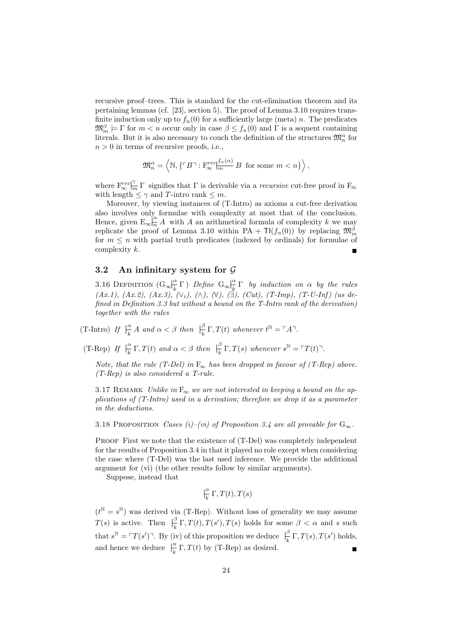recursive proof–trees. This is standard for the cut-elimination theorem and its pertaining lemmas (cf. [23], section 5). The proof of Lemma 3.10 requires transfinite induction only up to  $f_n(0)$  for a sufficiently large (meta) n. The predicates  $\mathfrak{M}_m^{\beta} \models \Gamma$  for  $m < n$  occur only in case  $\beta \leq f_n(0)$  and  $\Gamma$  is a sequent containing literals. But it is also necessary to couch the definition of the structures  $\mathfrak{M}^{\alpha}_{n}$  for  $n > 0$  in terms of recursive proofs, i.e.,

$$
\mathfrak{M}_n^{\alpha} = \left\langle \mathbb{N}, \left\{ \ulcorner B \urcorner : \mathcal{F}_{\infty}^{rec} \middle| \frac{f_n(\alpha)}{m} B \text{ for some } m < n \right\} \right\rangle,
$$

where  $F^{rec}_{\infty}$  $\frac{\gamma}{m}$  Γ signifies that Γ is derivable via a *recursive* cut-free proof in  $F_{\infty}$ with length  $\leq \gamma$  and T-intro rank  $\leq m$ .

Moreover, by viewing instances of (T-Intro) as axioms a cut-free derivation also involves only formulae with complexity at most that of the conclusion. Hence, given  $E_{\infty}$   $\Big|_n^{\alpha} A$  with A an arithmetical formula of complexity k we may replicate the proof of Lemma 3.10 within PA +  $\mathsf{TI}(f_n(0))$  by replacing  $\mathfrak{M}_m^{\beta}$ for  $m \leq n$  with partial truth predicates (indexed by ordinals) for formulae of complexity k.

### 3.2 An infinitary system for  $\mathcal G$

3.16 DEFINITION  $(G_{\infty}|\frac{\alpha}{L}\Gamma)$  Define  $G_{\infty}|\frac{\alpha}{L}\Gamma$  by induction on  $\alpha$  by the rules (Ax.1), (Ax.2), (Ax.3), ( $\vee_i$ , ( $\wedge$ ), ( $\wedge$ ), ( $\forall$ ), ( $\exists$ ), (Cut), (T-Imp), (T-U-Inf) (as defined in Definition 3.3 but without a bound on the T-Intro rank of the derivation) together with the rules

(T-Intro) If  $\Big|_k^{\alpha} A$  and  $\alpha < \beta$  then  $\Big|_k^{\beta} \Gamma, T(t)$  whenever  $t^{\mathbb{N}} = \ulcorner A \urcorner$ .

(T-Rep) If  $\Big|_{\overline{k}}^{\alpha} \Gamma, T(t) \text{ and } \alpha < \beta \text{ then } \Big|_{\overline{k}}^{\beta} \Gamma, T(s) \text{ whenever } s^{\mathbb{N}} = \Gamma T(t)$ <sup>-1</sup>.

Note, that the rule (T-Del) in  $F_{\infty}$  has been dropped in favour of (T-Rep) above. (T-Rep) is also considered a T-rule.

3.17 REMARK Unlike in  $F_{\infty}$  we are not interested in keeping a bound on the applications of (T-Intro) used in a derivation; therefore we drop it as a parameter in the deductions.

3.18 PROPOSITION Cases (i)–(vi) of Proposition 3.4 are all provable for  $G_{\infty}$ .

PROOF First we note that the existence of (T-Del) was completely independent for the results of Proposition 3.4 in that it played no role except when considering the case where (T-Del) was the last used inference. We provide the additional argument for (vi) (the other results follow by similar arguments).

Suppose, instead that

$$
\mid _{\overline{k}} ^{\alpha} \Gamma, T(t), T(s)
$$

 $(t^{\mathbb{N}} = s^{\mathbb{N}})$  was derived via (T-Rep). Without loss of generality we may assume  $T(s)$  is active. Then  $\Big|\frac{\beta}{k}\Gamma, T(t), T(s'), T(s)$  holds for some  $\beta < \alpha$  and s such that  $s^{\mathbb{N}} = \ulcorner T(s') \urcorner$ . By (iv) of this proposition we deduce  $\vert \frac{\beta}{k} \Gamma, T(s), T(s') \vert$  holds, and hence we deduce  $\Big|_{k}^{\alpha} \Gamma, T(t)$  by (T-Rep) as desired.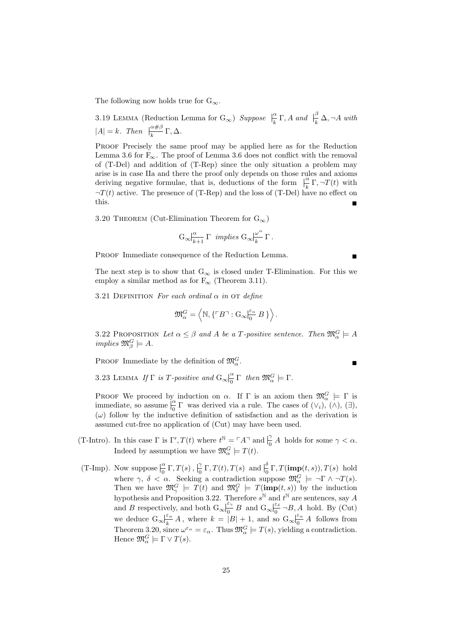The following now holds true for  $G_{\infty}$ .

3.19 LEMMA (Reduction Lemma for  $G_{\infty}$ ) Suppose  $\frac{\alpha}{k} \Gamma$ , A and  $\frac{\beta}{k} \Delta$ , ¬A with  $|A| = k$ . Then  $\frac{\alpha \# \beta}{k} \Gamma, \Delta$ .

PROOF Precisely the same proof may be applied here as for the Reduction Lemma 3.6 for  $F_{\infty}$ . The proof of Lemma 3.6 does not conflict with the removal of (T-Del) and addition of (T-Rep) since the only situation a problem may arise is in case IIa and there the proof only depends on those rules and axioms deriving negative formulae, that is, deductions of the form  $\frac{\alpha}{k} \Gamma, \neg T(t)$  with  $\neg T(t)$  active. The presence of (T-Rep) and the loss of (T-Del) have no effect on this.

3.20 THEOREM (Cut-Elimination Theorem for  $G_{\infty}$ )

$$
\mathbf{G}_{\infty} \big|_{k+1}^{\alpha} \Gamma \text{ implies } \mathbf{G}_{\infty} \big|_{k}^{\omega^{\alpha}} \Gamma.
$$

PROOF Immediate consequence of the Reduction Lemma.

The next step is to show that  $G_{\infty}$  is closed under T-Elimination. For this we employ a similar method as for  $F_{\infty}$  (Theorem 3.11).

3.21 DEFINITION For each ordinal  $\alpha$  in OT define

$$
\mathfrak{M}_{\alpha}^G = \left\langle \mathbb{N}, \left\{ \ulcorner B \urcorner : \mathrm{G}_\infty \right|_0^{\varepsilon_\alpha} B \right. \right\rangle.
$$

3.22 PROPOSITION Let  $\alpha \leq \beta$  and A be a T-positive sentence. Then  $\mathfrak{M}_{\alpha}^G \models A$ implies  $\mathfrak{M}_{\beta}^G \models A$ .

PROOF Immediate by the definition of  $\mathfrak{M}_{\alpha}^G$ .  $\alpha$  .

3.23 LEMMA If 
$$
\Gamma
$$
 is T-positive and  $G_{\infty}|_{0}^{\alpha} \Gamma$  then  $\mathfrak{M}_{\alpha}^{G} \models \Gamma$ .

PROOF We proceed by induction on  $\alpha$ . If  $\Gamma$  is an axiom then  $\mathfrak{M}_{\alpha}^G \models \Gamma$  is immediate, so assume  $\int_{0}^{\alpha} \Gamma$  was derived via a rule. The cases of  $(\vee_i)$ ,  $(\wedge)$ ,  $(\exists)$ ,  $(\omega)$  follow by the inductive definition of satisfaction and as the derivation is assumed cut-free no application of (Cut) may have been used.

- (T-Intro). In this case  $\Gamma$  is  $\Gamma', T(t)$  where  $t^{\mathbb{N}} = \Gamma A^{\mathbb{T}}$  and  $\Big|_0^{\gamma} A$  holds for some  $\gamma < \alpha$ . Indeed by assumption we have  $\mathfrak{M}_{\alpha}^G \models T(t)$ .
- (T-Imp). Now suppose  $\frac{\alpha}{0} \Gamma$ ,  $T(s)$ ,  $\frac{\beta}{0} \Gamma$ ,  $T(t)$ ,  $T(s)$  and  $\frac{\beta}{0} \Gamma$ ,  $T(\text{imp}(t, s))$ ,  $T(s)$  hold where  $\gamma$ ,  $\delta < \alpha$ . Seeking a contradiction suppose  $\mathfrak{M}_{\alpha}^G \models \neg \Gamma \land \neg T(s)$ . Then we have  $\mathfrak{M}^G_\gamma \models T(t)$  and  $\mathfrak{M}^G_\delta \models T(\text{imp}(t,s))$  by the induction hypothesis and Proposition 3.22. Therefore  $s^{\mathbb{N}}$  and  $t^{\mathbb{N}}$  are sentences, say A and B respectively, and both  $G_{\infty}$  $\Big|_{0}^{\varepsilon_{\gamma}}$  $rac{\varepsilon \gamma}{0} B$  and  $G_{\infty}$  $\Big|_0^{\varepsilon_{\delta}}$  $\frac{\varepsilon_{\delta}}{0}$   $\neg B, A$  hold. By (Cut) we deduce  $G_{\infty}$  $\frac{\varepsilon_{\alpha}}{h}$  $\frac{\varepsilon_{\alpha}}{k}$  A, where  $k = |B| + 1$ , and so  $G_{\infty}$  $\Big|_{0}^{\varepsilon_{\alpha}}$  $\frac{\varepsilon_{\alpha}}{0}$  *A* follows from Theorem 3.20, since  $\omega^{\varepsilon_{\alpha}} = \varepsilon_{\alpha}$ . Thus  $\mathfrak{M}_{\alpha}^G \models T(s)$ , yielding a contradiction. Hence  $\mathfrak{M}_{\alpha}^G \models \Gamma \vee T(s)$ .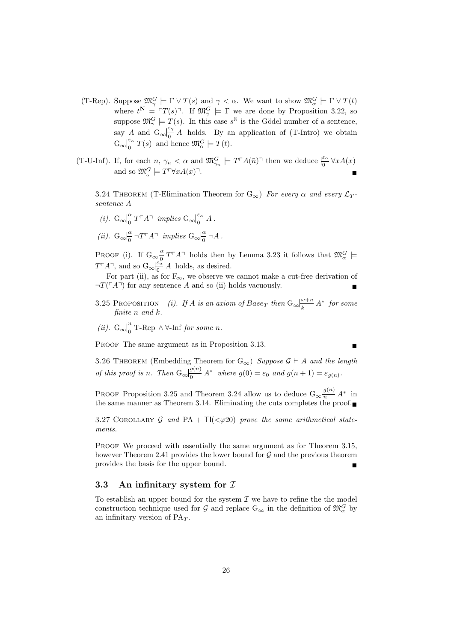- (T-Rep). Suppose  $\mathfrak{M}^G_\gamma \models \Gamma \vee T(s)$  and  $\gamma < \alpha$ . We want to show  $\mathfrak{M}^G_\alpha \models \Gamma \vee T(t)$ where  $t^{\mathbf{N}} = \lceil T(s) \rceil$ . If  $\mathfrak{M}^G_{\gamma} \models \Gamma$  we are done by Proposition 3.22, so suppose  $\mathfrak{M}^G_\gamma \models T(s)$ . In this case  $s^{\mathbb{N}}$  is the Gödel number of a sentence, say A and  $G_{\infty}$  $\Big|_{0}^{\varepsilon_{\gamma}}$  $\frac{0}{0}$  A holds. By an application of (T-Intro) we obtain  $G_{\infty}$  $\frac{\varepsilon_{\alpha}}{2}$  $\frac{\varepsilon_{\alpha}}{0}T(s)$  and hence  $\mathfrak{M}_{\alpha}^G \models T(t)$ .
- (T-U-Inf). If, for each  $n, \gamma_n < \alpha$  and  $\mathfrak{M}_{\gamma_n}^G \models T^{\top}A(\bar{n})^{\top}$  then we deduce  $\frac{\varepsilon_\alpha}{\sqrt{0}} \forall x A(x)$ and so  $\mathfrak{M}_{\alpha}^G \models T^{\Box} \forall x A(x)^{\Box}$ .

3.24 THEOREM (T-Elimination Theorem for  $G_{\infty}$ ) For every  $\alpha$  and every  $\mathcal{L}_T$ sentence A

(*i*).  $G_{\infty}$  $\frac{\alpha}{\alpha}$  $\frac{\alpha}{0}T\ulcorner A\urcorner$  implies  $\mathrm{G}_{\infty}|_{0}^{\varepsilon_{\alpha}}$  $\frac{c_{\alpha}}{0}A$  .

(ii). 
$$
\mathbf{G}_{\infty}|_{0}^{\alpha} \neg T^{\vdash} A^{\urcorner}
$$
 implies  $\mathbf{G}_{\infty}|_{0}^{\alpha} \neg A$ .

PROOF (i). If  $G_{\infty}$  $\frac{\alpha}{0}$  $\frac{\alpha}{0} T^{r} A^{\dagger}$  holds then by Lemma 3.23 it follows that  $\mathfrak{M}_{\alpha}^{G} \models$  $T\ulcorner A\urcorner$ , and so  $G_{\infty}$  $\big|_{0}^{\varepsilon_{\alpha}^{\vee}}$  $\frac{c_{\alpha}}{0}$  *A* holds, as desired.

For part (ii), as for  $F_{\infty}$ , we observe we cannot make a cut-free derivation of  $\neg T(\ulcorner A\urcorner)$  for any sentence A and so (ii) holds vacuously.

- 3.25 PROPOSITION (i). If A is an axiom of Base<sub>T</sub> then  $G_{\infty}$  $\Big|_{k=1}^{\omega+n}$  $\frac{\omega + n}{k}$  A<sup>\*</sup> for some finite n and k.
- (*ii*).  $G_{\infty}$  $\Big|_0^n$  $\frac{n}{0}$  T-Rep  $\wedge \forall$ -Inf for some n.

PROOF The same argument as in Proposition 3.13.

3.26 THEOREM (Embedding Theorem for  $G_{\infty}$ ) Suppose  $\mathcal{G} \vdash A$  and the length of this proof is n. Then  $G_{\infty}$  $\Big|_{0}^{g(n)}$  $\frac{g(n)}{0}$   $A^*$  where  $g(0) = \varepsilon_0$  and  $g(n+1) = \varepsilon_{g(n)}$ .

PROOF Proposition 3.25 and Theorem 3.24 allow us to deduce  $G_{\infty}$   $\frac{g(n)}{n} A^*$  in the same manner as Theorem 3.14. Eliminating the cuts completes the proof.

3.27 COROLLARY G and PA +  $TI(*φ*20)$  prove the same arithmetical statements.

PROOF We proceed with essentially the same argument as for Theorem 3.15, however Theorem 2.41 provides the lower bound for  $\mathcal G$  and the previous theorem provides the basis for the upper bound.

### 3.3 An infinitary system for  $I$

To establish an upper bound for the system  $\mathcal I$  we have to refine the the model construction technique used for  $\mathcal G$  and replace  $G_{\infty}$  in the definition of  $\mathfrak{M}^G_{\alpha}$  by an infinitary version of  $PA<sub>T</sub>$ .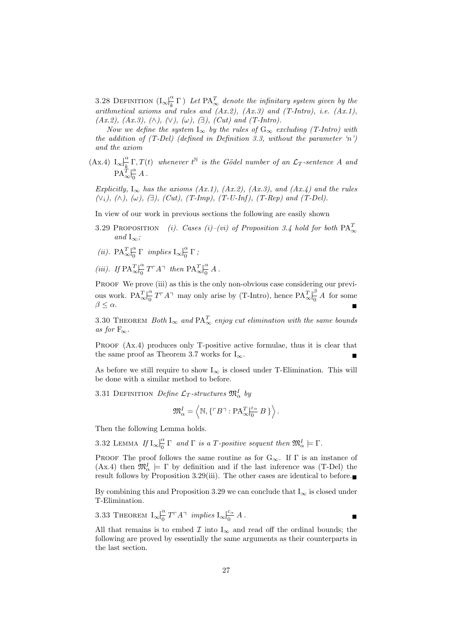3.28 DEFINITION  $\left(\mathrm{I}_{\infty}\right)_{k}^{\alpha}$  $\frac{\alpha}{k} \Gamma$ ) Let  $\text{PA}_\infty^T$  denote the infinitary system given by the arithmetical axioms and rules and  $(Ax.2)$ ,  $(Ax.3)$  and  $(T\text{-}Intro)$ , i.e.  $(Ax.1)$ ,  $(Ax.2), (Ax.3), (\wedge), (\vee), (\omega), (\exists), (Cut)$  and  $(T\text{-}Intro).$ 

Now we define the system  $I_{\infty}$  by the rules of  $G_{\infty}$  excluding (T-Intro) with the addition of  $(T-Del)$  (defined in Definition 3.3, without the parameter 'n') and the axiom

 $\text{(Ax.4)} \left| \text{I}_{\infty} \right|_{h}^{\alpha}$  $\frac{\alpha}{k} \sum_{i=1}^{n} T(t)$  whenever  $t^{\mathbb{N}}$  is the Gödel number of an  $\mathcal{L}_T$ -sentence A and  $PA_\infty^T$ α  $\frac{a}{0}A$ .

Explicitly,  $I_{\infty}$  has the axioms (Ax.1), (Ax.2), (Ax.3), and (Ax.4) and the rules  $(\vee_i), (\wedge), (\omega), (\exists), (Cut), (T-Imp), (T-U-Inf), (T-Rep)$  and  $(T-Del).$ 

In view of our work in previous sections the following are easily shown

- 3.29 PROPOSITION (i). Cases (i)–(vi) of Proposition 3.4 hold for both  $PA^T_{\infty}$ and  $I_{\infty}$ :
- (*ii*).  $PA_{\infty}^T$ α  $\frac{\alpha}{0} \Gamma$  implies  $I_{\infty}$  $\Big|_0^{\alpha}$  $\frac{a}{0} \Gamma$ ;
- (*iii*). If  $PA_\infty^T$ α  $\frac{\alpha}{0}T^{\dagger}A^{\dagger}$  then  $\text{PA}_{\infty}^{T}$ α  $\frac{a}{0}A$ .

PROOF We prove (iii) as this is the only non-obvious case considering our previous work.  $PA_{\infty}^T$ α  $\frac{\alpha}{0}$  T<sup> $\tau$ </sup>A<sup> $\tau$ </sup> may only arise by (T-Intro), hence PA<sup>T</sup><sub>∞</sub> β  $\frac{p}{0}$  A for some  $\beta \leq \alpha$ .

3.30 THEOREM Both  $I_{\infty}$  and  $PA_{\infty}^T$  enjoy cut elimination with the same bounds as for  $F_{\infty}$ .

PROOF (Ax.4) produces only T-positive active formulae, thus it is clear that the same proof as Theorem 3.7 works for  $I_{\infty}$ .

As before we still require to show  $I_{\infty}$  is closed under T-Elimination. This will be done with a similar method to before.

3.31 DEFINITION Define  $\mathcal{L}_T$ -structures  $\mathfrak{M}^I_{\alpha}$  by

$$
\mathfrak{M}_{\alpha}^I = \left\langle \mathbb{N}, \left\{ \ulcorner B \urcorner : \text{PA}_{\infty}^T \middle| \frac{\varepsilon_{\alpha}}{0} B \right\} \right\rangle.
$$

Then the following Lemma holds.

3.32 LEMMA If  $I_{\infty}$  $\frac{\alpha}{\alpha}$  $\frac{\alpha}{0} \Gamma$  and  $\Gamma$  is a T-positive sequent then  $\mathfrak{M}_{\alpha}^I \models \Gamma$ .

PROOF The proof follows the same routine as for  $G_{\infty}$ . If  $\Gamma$  is an instance of (Ax.4) then  $\mathfrak{M}_{\alpha}^I \models \Gamma$  by definition and if the last inference was (T-Del) the result follows by Proposition 3.29(iii). The other cases are identical to before.

By combining this and Proposition 3.29 we can conclude that  $I_{\infty}$  is closed under T-Elimination.

3.33 THEOREM  $I_{\infty}$  $\frac{\alpha}{\alpha}$  $\frac{\alpha}{0}$  T<sup> $\sqcap$ </sup> A<sup> $\sqcap$ </sup> implies  $I_{\infty}$  $\Big|_{0}^{\varepsilon_{\alpha}}$ 0  $A$  .

All that remains is to embed  $\mathcal I$  into  $I_{\infty}$  and read off the ordinal bounds; the following are proved by essentially the same arguments as their counterparts in the last section.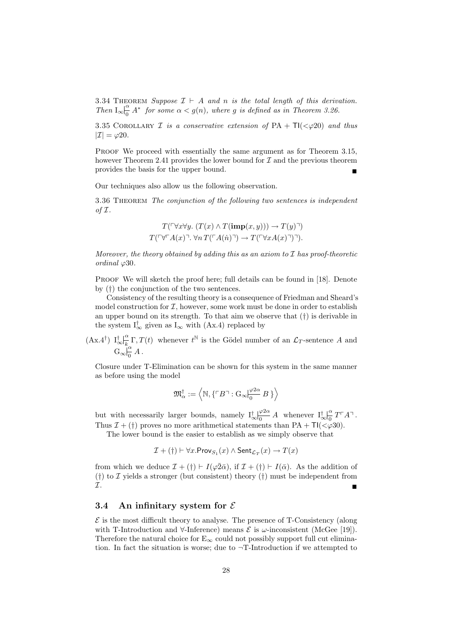3.34 THEOREM Suppose  $\mathcal{I} \vdash A$  and n is the total length of this derivation. Then  $I_{\infty}$  $\Big|_0^{\alpha}$  $\frac{\alpha}{0}$  A\* for some  $\alpha < g(n)$ , where g is defined as in Theorem 3.26.

3.35 COROLLARY *I* is a conservative extension of PA +  $TI( $\varphi$ 20)$  and thus  $|\mathcal{I}| = \varphi 20.$ 

PROOF We proceed with essentially the same argument as for Theorem 3.15, however Theorem 2.41 provides the lower bound for  $\mathcal I$  and the previous theorem provides the basis for the upper bound.

Our techniques also allow us the following observation.

3.36 THEOREM The conjunction of the following two sentences is independent of  $\mathcal I$ .

$$
T(\ulcorner \forall x \forall y. (T(x) \land T(\text{imp}(x, y))) \to T(y) \urcorner)
$$

$$
T(\ulcorner \forall \ulcorner A(x) \urcorner \forall n \, T(\ulcorner A(n) \urcorner) \to T(\ulcorner \forall x A(x) \urcorner) \urcorner).
$$

Moreover, the theory obtained by adding this as an axiom to  $\mathcal I$  has proof-theoretic ordinal  $\varphi$ 30.

PROOF We will sketch the proof here; full details can be found in [18]. Denote by (†) the conjunction of the two sentences.

Consistency of the resulting theory is a consequence of Friedman and Sheard's model construction for  $I$ , however, some work must be done in order to establish an upper bound on its strength. To that aim we observe that  $(\dagger)$  is derivable in the system  $I_{\infty}^{\dagger}$  given as  $I_{\infty}$  with (Ax.4) replaced by

 $(Ax.4^{\dagger})$  I<sup>†</sup> α  $\frac{\alpha}{k_{\perp}} \Gamma, T(t)$  whenever  $t^{\mathbb{N}}$  is the Gödel number of an  $\mathcal{L}_T$ -sentence A and  $G_{\infty}$  $\frac{\alpha}{\alpha}$  $\frac{a}{0}A$ .

Closure under T-Elimination can be shown for this system in the same manner as before using the model

$$
\mathfrak{M}_{\alpha}^{\dagger} := \left\langle \mathbb{N}, \left\{ \ulcorner B \urcorner : \mathrm{G}_{\infty} \middle| \frac{\varphi 2\alpha}{0} B \right\} \right\rangle
$$

but with necessarily larger bounds, namely  $I^{\dagger}_{\infty}$  $\varphi 2\alpha$  $\frac{\varphi_{2\alpha}}{0}$  *A* whenever  $I_{\infty}^{\dagger}$ α  $\frac{\alpha}{0}T\ulcorner A\urcorner$ . Thus  $\mathcal{I} + (\dagger)$  proves no more arithmetical statements than PA + TI( $\lt \varphi$ 30).

The lower bound is the easier to establish as we simply observe that

$$
\mathcal{I} + (\dagger) \vdash \forall x . \mathsf{Prov}_{S_1}(x) \land \mathsf{Sent}_{\mathcal{L}_T}(x) \rightarrow T(x)
$$

from which we deduce  $\mathcal{I} + (\dagger) \vdash I(\varphi \bar{2}\bar{\alpha})$ , if  $\mathcal{I} + (\dagger) \vdash I(\bar{\alpha})$ . As the addition of (†) to  $\mathcal I$  yields a stronger (but consistent) theory (†) must be independent from  $\mathcal{I}$ .

### 3.4 An infinitary system for  $\mathcal E$

 $\mathcal E$  is the most difficult theory to analyse. The presence of T-Consistency (along with T-Introduction and  $\forall$ -Inference) means  $\mathcal E$  is  $\omega$ -inconsistent (McGee [19]). Therefore the natural choice for  $E_{\infty}$  could not possibly support full cut elimination. In fact the situation is worse; due to  $\neg$ T-Introduction if we attempted to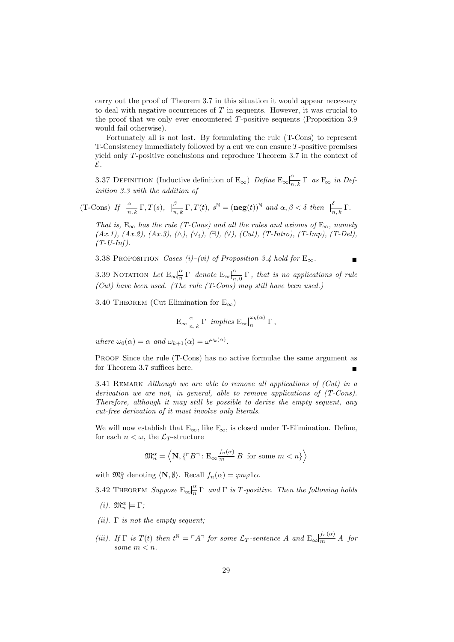carry out the proof of Theorem 3.7 in this situation it would appear necessary to deal with negative occurrences of  $T$  in sequents. However, it was crucial to the proof that we only ever encountered T-positive sequents (Proposition 3.9 would fail otherwise).

Fortunately all is not lost. By formulating the rule (T-Cons) to represent T-Consistency immediately followed by a cut we can ensure T-positive premises yield only T-positive conclusions and reproduce Theorem 3.7 in the context of E.

3.37 DEFINITION (Inductive definition of  $E_{\infty}$ ) Define  $E_{\infty}$  $\frac{\alpha}{n,k} \Gamma$  as  $F_{\infty}$  in Definition 3.3 with the addition of

 $(T\text{-Cons})$  If  $\bigcap_{n,k}^{\alpha} \Gamma, T(s), \bigcap_{n,k}^{\beta}$  $\frac{\beta}{n,k} \Gamma, T(t), s^{\mathbb{N}} = (\textbf{neg}(t))^{\mathbb{N}} \text{ and } \alpha, \beta < \delta \text{ then } \frac{|\delta|}{n,k} \Gamma.$ 

That is,  $E_{\infty}$  has the rule (T-Cons) and all the rules and axioms of  $F_{\infty}$ , namely (Ax.1), (Ax.2), (Ax.3), (∧), ( $\lor$ <sub>i</sub>), (∃), (∀), (Cut), (T-Intro), (T-Imp), (T-Del),  $(T-U-Inf).$ 

3.38 PROPOSITION Cases (i)–(vi) of Proposition 3.4 hold for  $E_{\infty}$ .

3.39 NOTATION Let  $\mathbb{E}_{\infty}$   $\Big|_{n}^{\alpha}$   $\Gamma$  denote  $\mathbb{E}_{\infty}$   $\Big|_{n}^{\alpha}$  $\frac{\alpha}{n,0} \Gamma$ , that is no applications of rule (Cut) have been used. (The rule  $(T\text{-}Cons)$  may still have been used.)

3.40 THEOREM (Cut Elimination for  $E_{\infty}$ )

$$
\mathrm{E}_{\infty} \big|_{n,k}^{\alpha} \Gamma \text{ implies } \mathrm{E}_{\infty} \big|_{n}^{\omega_k(\alpha)} \Gamma,
$$

where  $\omega_0(\alpha) = \alpha$  and  $\omega_{k+1}(\alpha) = \omega^{\omega_k(\alpha)}$ .

PROOF Since the rule (T-Cons) has no active formulae the same argument as for Theorem 3.7 suffices here.

3.41 REMARK Although we are able to remove all applications of  $(Cut)$  in a derivation we are not, in general, able to remove applications of (T-Cons). Therefore, although it may still be possible to derive the empty sequent, any cut-free derivation of it must involve only literals.

We will now establish that  $E_{\infty}$ , like  $F_{\infty}$ , is closed under T-Elimination. Define, for each  $n < \omega$ , the  $\mathcal{L}_T$ -structure

$$
\mathfrak{M}_n^{\alpha} = \left\langle \mathbf{N}, \left\{ \ulcorner B \urcorner : \mathrm{E}_{\infty} \middle| \frac{f_n(\alpha)}{m} \, B \text{ for some } m < n \right\} \right\rangle
$$

with  $\mathfrak{M}_{0}^{\alpha}$  denoting  $\langle \mathbf{N}, \emptyset \rangle$ . Recall  $f_{n}(\alpha) = \varphi n \varphi 1 \alpha$ .

3.42 THEOREM Suppose  $E_{\infty}|_{\overline{n}}^{\alpha} \Gamma$  and  $\Gamma$  is T-positive. Then the following holds

- (*i*).  $\mathfrak{M}^{\alpha}_{n} \models \Gamma$ ;
- (ii).  $\Gamma$  is not the empty sequent;
- (iii). If  $\Gamma$  is  $T(t)$  then  $t^{\mathbb{N}} = \Gamma A \Gamma$  for some  $\mathcal{L}_T$ -sentence A and  $E_{\infty} \big|_{m}^{f_n(\alpha)} A$  for some  $m < n$ .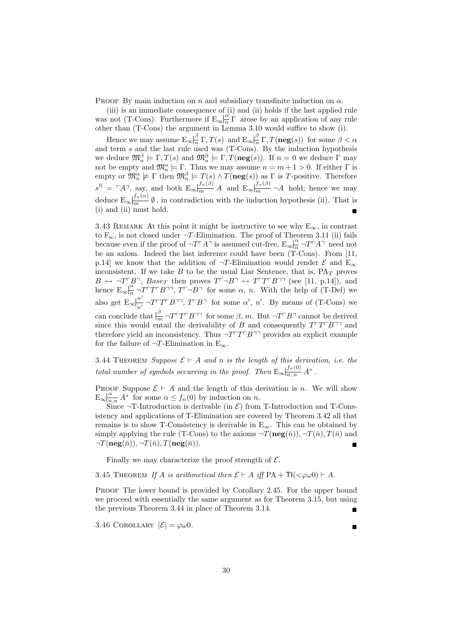PROOF By main induction on n and subsidiary transfinite induction on  $\alpha$ .

(iii) is an immediate consequence of (i) and (ii) holds if the last applied rule was not (T-Cons). Furthermore if  $E_{\infty}$   $\Big|_n^{\alpha'}$   $\Gamma$  arose by an application of any rule other than (T-Cons) the argument in Lemma 3.10 would suffice to show (i).

Hence we may assume  $\mathbb{E}_{\infty}$   $\Big|_{n}^{\beta}$   $\Gamma, T(s)$  and  $\mathbb{E}_{\infty}$   $\Big|_{n}^{\beta}$   $\Gamma, T(\mathbf{neg}(s))$  for some  $\beta < \alpha$ and term s and the last rule used was (T-Cons). By the induction hypothesis we deduce  $\mathfrak{M}^{\beta}_n \models \Gamma, T(s)$  and  $\mathfrak{M}^{\beta}_n \models \Gamma, T(\mathbf{neg}(s))$ . If  $n = 0$  we deduce  $\Gamma$  may not be empty and  $\mathfrak{M}_n^{\alpha} \models \Gamma$ . Thus we may assume  $n = m + 1 > 0$ . If either  $\Gamma$  is empty or  $\mathfrak{M}_n^{\alpha} \not\models \Gamma$  then  $\mathfrak{M}_n^{\beta} \models T(s) \wedge T(\mathbf{neg}(s))$  as  $\Gamma$  is T-positive. Therefore  $s^{\mathbb{N}} = \ulcorner A \urcorner$ , say, and both  $\mathbb{E}_{\infty} \bigg| \frac{f_n(\beta)}{m} A$  and  $\mathbb{E}_{\infty} \bigg| \frac{f_n(\beta)}{m} \neg A$  hold; hence we may deduce  $\mathcal{E}_{\infty}$   $\Big|_{m}^{f_n(\alpha)} \emptyset$ , in contradiction with the induction hypothesis (ii). That is (i) and (ii) must hold.

3.43 REMARK At this point it might be instructive to see why  $E_{\infty}$ , in contrast to  $F_{\infty}$ , is not closed under  $\neg T$ -Elimination. The proof of Theorem 3.11 (ii) fails because even if the proof of  $\neg T \neg A$ <sup>π</sup> is assumed cut-free,  $E_{\infty}$   $\boxed{\frac{\alpha}{n}} \neg T \neg A$ <sup>π</sup> need not be an axiom. Indeed the last inference could have been (T-Cons). From [11, p.14] we know that the addition of  $\neg T$ -Elimination would render  $\mathcal E$  and  $E_{\infty}$ inconsistent. If we take B to be the usual Liar Sentence, that is,  $PA_T$  proves  $B \leftrightarrow \neg T^{\top}B^{\top}$ ,  $Base_T$  then proves  $T^{\top} \neg B^{\top} \leftrightarrow T^{\top}T^{\top}B^{\top}$  (see [11, p.14]), and hence  $E_{\infty} \Big|_{n}^{\alpha} \neg T \ulcorner T \ulcorner B \urcorner \urcorner, T \ulcorner \neg B \urcorner$  for some  $\alpha$ , n. With the help of (T-Del) we also get  $E_{\infty}$  $\frac{\alpha'}{a}$  $\frac{\alpha}{n'}$  ¬T<sup>r</sup>T<sup>r</sup>B<sup>-1</sup>, T<sup>r</sup>B<sup>-1</sup> for some  $\alpha'$ , n'. By means of (T-Cons) we can conclude that  $\frac{\beta}{m} \neg T^{\top}T^{\top}B^{\top \top}$  for some  $\beta$ , m. But  $\neg T^{\top}B^{\top}$  cannot be derived since this would entail the derivability of B and consequently  $T\tau T\tau B$ <sup> $\eta$ </sup> and therefore yield an inconsistency. Thus  $\neg T^{\top}T^{\top}B^{\top}$  provides an explicit example for the failure of  $\neg T$ -Elimination in E<sub>∞</sub>.

3.44 THEOREM Suppose  $\mathcal{E} \vdash A$  and n is the length of this derivation, i.e. the total number of symbols occurring in the proof. Then  $E_{\infty}$  $\Big|_{n,\,n}^{f_n(0)}$   $A^*$ .

PROOF Suppose  $\mathcal{E} \vdash A$  and the length of this derivation is n. We will show  $\mathbb{E}_{\infty}$   $\frac{\alpha}{n,n}$   $A^*$  for some  $\alpha \leq f_n(0)$  by induction on n.

Since  $\neg$ T-Introduction is derivable (in  $\mathcal{E}$ ) from T-Introduction and T-Consistency and applications of T-Elimination are covered by Theorem 3.42 all that remains is to show T-Consistency is derivable in  $E_{\infty}$ . This can be obtained by simply applying the rule (T-Cons) to the axioms  $\neg T(\mathbf{neg}(\bar{n}))$ ,  $\neg T(\bar{n})$ ,  $T(\bar{n})$  and  $\neg T(\mathbf{neg}(\bar{n})), \neg T(\bar{n}), T(\mathbf{neg}(\bar{n})).$ 

Finally we may characterize the proof strength of  $\mathcal{E}$ .

3.45 THEOREM If A is arithmetical then  $\mathcal{E} \vdash A$  iff  $PA + \mathsf{TI}(\langle \mathcal{Q}\omega 0 \rangle \vdash A$ .

PROOF The lower bound is provided by Corollary 2.45. For the upper bound we proceed with essentially the same argument as for Theorem 3.15, but using the previous Theorem 3.44 in place of Theorem 3.14.

3.46 COROLLARY  $|\mathcal{E}| = \varphi \omega 0$ .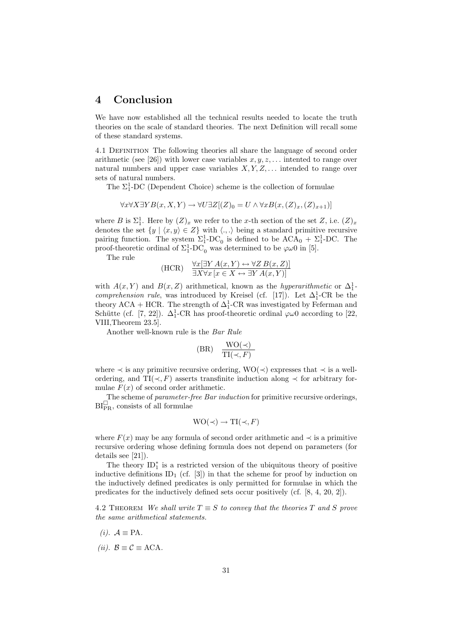# 4 Conclusion

We have now established all the technical results needed to locate the truth theories on the scale of standard theories. The next Definition will recall some of these standard systems.

4.1 Definition The following theories all share the language of second order arithmetic (see [26]) with lower case variables  $x, y, z, \ldots$  intented to range over natural numbers and upper case variables  $X, Y, Z, \ldots$  intended to range over sets of natural numbers.

The  $\Sigma_1^1$ -DC (Dependent Choice) scheme is the collection of formulae

 $\forall x \forall X \exists Y B(x, X, Y) \rightarrow \forall U \exists Z[(Z)_0 = U \wedge \forall x B(x, (Z)_x, (Z)_{x+1})]$ 

where B is  $\Sigma_1^1$ . Here by  $(Z)_x$  we refer to the x-th section of the set  $Z$ , i.e.  $(Z)_x$ denotes the set  $\{y \mid \langle x, y \rangle \in Z\}$  with  $\langle ., . \rangle$  being a standard primitive recursive pairing function. The system  $\Sigma_1^1$ -DC<sub>0</sub> is defined to be ACA<sub>0</sub> +  $\Sigma_1^1$ -DC. The proof-theoretic ordinal of  $\Sigma_1^1$ -DC<sub>0</sub> was determined to be  $\varphi \omega 0$  in [5].

The rule

(HCR) 
$$
\frac{\forall x[\exists Y A(x, Y) \leftrightarrow \forall Z B(x, Z)]}{\exists X \forall x [x \in X \leftrightarrow \exists Y A(x, Y)]}
$$

with  $A(x, Y)$  and  $B(x, Z)$  arithmetical, known as the *hyperarithmetic* or  $\Delta_1^1$ . *comprehension rule*, was introduced by Kreisel (cf. [17]). Let  $\Delta_1^1$ -CR be the theory ACA + HCR. The strength of  $\Delta_1^1$ -CR was investigated by Feferman and Schütte (cf. [7, 22]).  $\Delta_1^1$ -CR has proof-theoretic ordinal  $\varphi \omega 0$  according to [22, VIII,Theorem 23.5].

Another well-known rule is the Bar Rule

$$
(BR) \quad \frac{\text{WO}(\prec)}{\text{TI}(\prec, F)}
$$

where  $\prec$  is any primitive recursive ordering, WO( $\prec$ ) expresses that  $\prec$  is a wellordering, and  $TI(\prec, F)$  asserts transfinite induction along  $\prec$  for arbitrary formulae  $F(x)$  of second order arithmetic.

The scheme of parameter-free Bar induction for primitive recursive orderings,  $BI_{PR}^{\Box}$ , consists of all formulae

$$
WO(\prec) \to TI(\prec, F)
$$

where  $F(x)$  may be any formula of second order arithmetic and  $\prec$  is a primitive recursive ordering whose defining formula does not depend on parameters (for details see [21]).

The theory  $ID_1^*$  is a restricted version of the ubiquitous theory of positive inductive definitions ID<sub>1</sub> (cf. [3]) in that the scheme for proof by induction on the inductively defined predicates is only permitted for formulae in which the predicates for the inductively defined sets occur positively (cf. [8, 4, 20, 2]).

4.2 THEOREM We shall write  $T \equiv S$  to convey that the theories T and S prove the same arithmetical statements.

- $(i)$ .  $\mathcal{A} \equiv PA$ .
- (ii).  $B \equiv C \equiv ACA$ .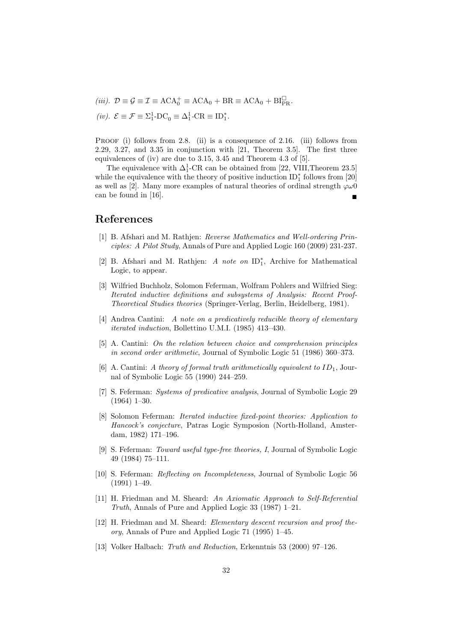(iii).  $\mathcal{D} \equiv \mathcal{G} \equiv \mathcal{I} \equiv {\rm ACA}_0^+ \equiv {\rm ACA}_0 + {\rm BR} \equiv {\rm ACA}_0 + {\rm BI}_{\rm PR}^\square.$ 

$$
(iv).\ \, \mathcal{E}\equiv\mathcal{F}\equiv\Sigma_1^1\textrm{-DC}_0\equiv\Delta_1^1\textrm{-CR}\equiv{\rm ID}_1^*.
$$

PROOF (i) follows from 2.8. (ii) is a consequence of 2.16. (iii) follows from 2.29, 3.27, and 3.35 in conjunction with [21, Theorem 3.5]. The first three equivalences of (iv) are due to 3.15, 3.45 and Theorem 4.3 of [5].

The equivalence with  $\Delta_1^1$ -CR can be obtained from [22, VIII,Theorem 23.5] while the equivalence with the theory of positive induction  $ID_1^*$  follows from [20] as well as [2]. Many more examples of natural theories of ordinal strength  $\varphi\omega 0$ can be found in [16].

# References

- [1] B. Afshari and M. Rathjen: Reverse Mathematics and Well-ordering Principles: A Pilot Study, Annals of Pure and Applied Logic 160 (2009) 231-237.
- [2] B. Afshari and M. Rathjen: A note on ID<sup>\*</sup>, Archive for Mathematical Logic, to appear.
- [3] Wilfried Buchholz, Solomon Feferman, Wolfram Pohlers and Wilfried Sieg: Iterated inductive definitions and subsystems of Analysis: Recent Proof-Theoretical Studies theories (Springer-Verlag, Berlin, Heidelberg, 1981).
- [4] Andrea Cantini: A note on a predicatively reducible theory of elementary iterated induction, Bollettino U.M.I. (1985) 413–430.
- [5] A. Cantini: On the relation between choice and comprehension principles in second order arithmetic, Journal of Symbolic Logic 51 (1986) 360–373.
- [6] A. Cantini: A theory of formal truth arithmetically equivalent to  $ID_1$ , Journal of Symbolic Logic 55 (1990) 244–259.
- [7] S. Feferman: Systems of predicative analysis, Journal of Symbolic Logic 29 (1964) 1–30.
- [8] Solomon Feferman: Iterated inductive fixed-point theories: Application to Hancock's conjecture, Patras Logic Symposion (North-Holland, Amsterdam, 1982) 171–196.
- [9] S. Feferman: Toward useful type-free theories, I, Journal of Symbolic Logic 49 (1984) 75–111.
- [10] S. Feferman: Reflecting on Incompleteness, Journal of Symbolic Logic 56 (1991) 1–49.
- [11] H. Friedman and M. Sheard: An Axiomatic Approach to Self-Referential Truth, Annals of Pure and Applied Logic 33 (1987) 1–21.
- [12] H. Friedman and M. Sheard: Elementary descent recursion and proof theory, Annals of Pure and Applied Logic 71 (1995) 1–45.
- [13] Volker Halbach: Truth and Reduction, Erkenntnis 53 (2000) 97–126.